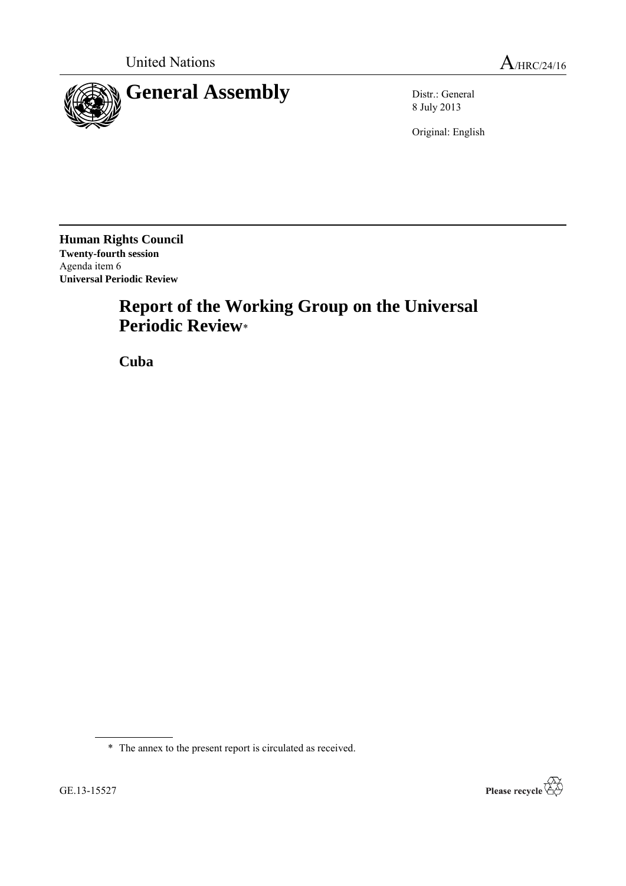

8 July 2013

Original: English

**Human Rights Council Twenty-fourth session** Agenda item 6 **Universal Periodic Review**

# **Report of the Working Group on the Universal Periodic Review**\*

**Cuba**

\* The annex to the present report is circulated as received.

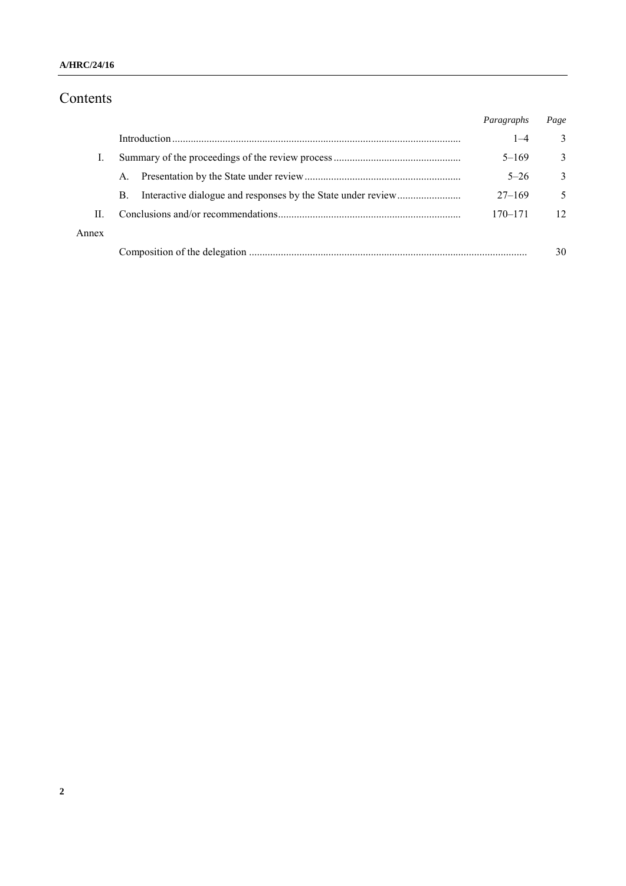#### **A/HRC/24/16**

# Contents

|       |    | Paragraphs  | Page         |
|-------|----|-------------|--------------|
|       |    | $1 - 4$     | 3            |
|       |    | $5 - 169$   | 3            |
|       | A. | $5 - 26$    | $\mathbf{3}$ |
|       | B. | $27 - 169$  | 5            |
| П     |    | $170 - 171$ | 12           |
| Annex |    |             |              |
|       |    |             | 30           |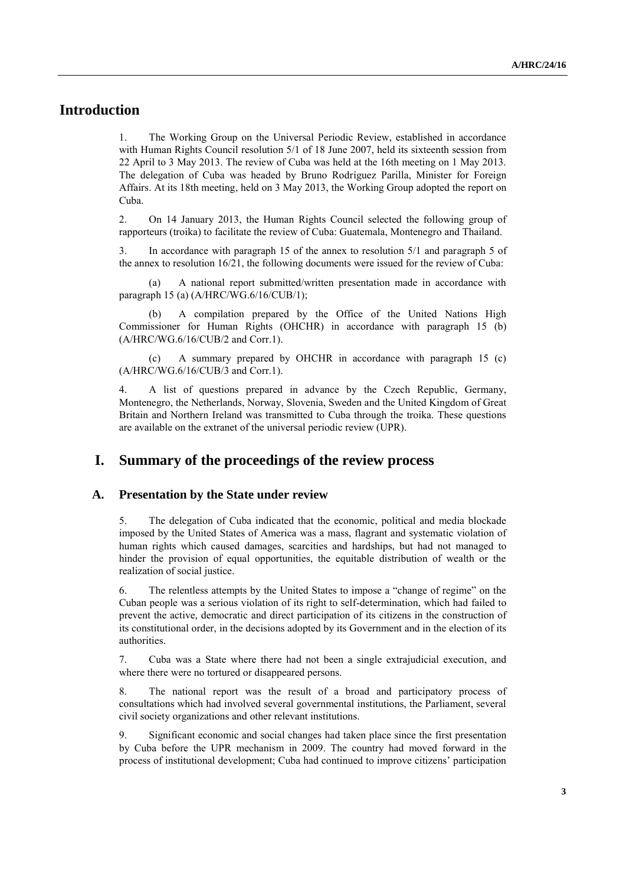# **Introduction**

1. The Working Group on the Universal Periodic Review, established in accordance with Human Rights Council resolution 5/1 of 18 June 2007, held its sixteenth session from 22 April to 3 May 2013. The review of Cuba was held at the 16th meeting on 1 May 2013. The delegation of Cuba was headed by Bruno Rodríguez Parilla, Minister for Foreign Affairs. At its 18th meeting, held on 3 May 2013, the Working Group adopted the report on Cuba.

2. On 14 January 2013, the Human Rights Council selected the following group of rapporteurs (troika) to facilitate the review of Cuba: Guatemala, Montenegro and Thailand.

3. In accordance with paragraph 15 of the annex to resolution 5/1 and paragraph 5 of the annex to resolution 16/21, the following documents were issued for the review of Cuba:

(a) A national report submitted/written presentation made in accordance with paragraph 15 (a) (A/HRC/WG.6/16/CUB/1);

(b) A compilation prepared by the Office of the United Nations High Commissioner for Human Rights (OHCHR) in accordance with paragraph 15 (b) (A/HRC/WG.6/16/CUB/2 and Corr.1).

(c) A summary prepared by OHCHR in accordance with paragraph 15 (c) (A/HRC/WG.6/16/CUB/3 and Corr.1).

4. A list of questions prepared in advance by the Czech Republic, Germany, Montenegro, the Netherlands, Norway, Slovenia, Sweden and the United Kingdom of Great Britain and Northern Ireland was transmitted to Cuba through the troika. These questions are available on the extranet of the universal periodic review (UPR).

### **I. Summary of the proceedings of the review process**

#### **A. Presentation by the State under review**

5. The delegation of Cuba indicated that the economic, political and media blockade imposed by the United States of America was a mass, flagrant and systematic violation of human rights which caused damages, scarcities and hardships, but had not managed to hinder the provision of equal opportunities, the equitable distribution of wealth or the realization of social justice.

6. The relentless attempts by the United States to impose a "change of regime" on the Cuban people was a serious violation of its right to self-determination, which had failed to prevent the active, democratic and direct participation of its citizens in the construction of its constitutional order, in the decisions adopted by its Government and in the election of its authorities.

7. Cuba was a State where there had not been a single extrajudicial execution, and where there were no tortured or disappeared persons.

8. The national report was the result of a broad and participatory process of consultations which had involved several governmental institutions, the Parliament, several civil society organizations and other relevant institutions.

9. Significant economic and social changes had taken place since the first presentation by Cuba before the UPR mechanism in 2009. The country had moved forward in the process of institutional development; Cuba had continued to improve citizens' participation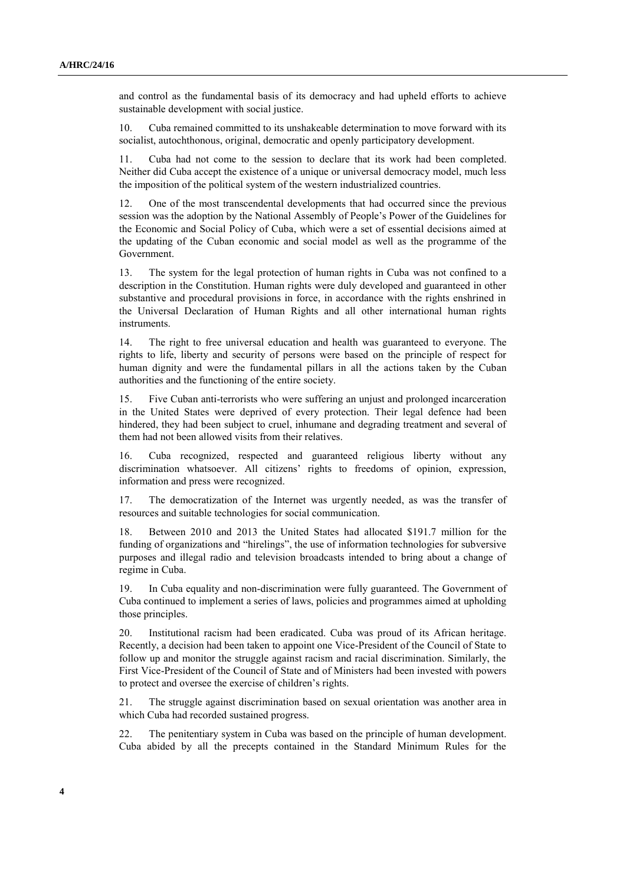and control as the fundamental basis of its democracy and had upheld efforts to achieve sustainable development with social justice.

10. Cuba remained committed to its unshakeable determination to move forward with its socialist, autochthonous, original, democratic and openly participatory development.

11. Cuba had not come to the session to declare that its work had been completed. Neither did Cuba accept the existence of a unique or universal democracy model, much less the imposition of the political system of the western industrialized countries.

12. One of the most transcendental developments that had occurred since the previous session was the adoption by the National Assembly of People's Power of the Guidelines for the Economic and Social Policy of Cuba, which were a set of essential decisions aimed at the updating of the Cuban economic and social model as well as the programme of the Government.

13. The system for the legal protection of human rights in Cuba was not confined to a description in the Constitution. Human rights were duly developed and guaranteed in other substantive and procedural provisions in force, in accordance with the rights enshrined in the Universal Declaration of Human Rights and all other international human rights instruments.

14. The right to free universal education and health was guaranteed to everyone. The rights to life, liberty and security of persons were based on the principle of respect for human dignity and were the fundamental pillars in all the actions taken by the Cuban authorities and the functioning of the entire society.

15. Five Cuban anti-terrorists who were suffering an unjust and prolonged incarceration in the United States were deprived of every protection. Their legal defence had been hindered, they had been subject to cruel, inhumane and degrading treatment and several of them had not been allowed visits from their relatives.

16. Cuba recognized, respected and guaranteed religious liberty without any discrimination whatsoever. All citizens' rights to freedoms of opinion, expression, information and press were recognized.

17. The democratization of the Internet was urgently needed, as was the transfer of resources and suitable technologies for social communication.

18. Between 2010 and 2013 the United States had allocated \$191.7 million for the funding of organizations and "hirelings", the use of information technologies for subversive purposes and illegal radio and television broadcasts intended to bring about a change of regime in Cuba.

19. In Cuba equality and non-discrimination were fully guaranteed. The Government of Cuba continued to implement a series of laws, policies and programmes aimed at upholding those principles.

20. Institutional racism had been eradicated. Cuba was proud of its African heritage. Recently, a decision had been taken to appoint one Vice-President of the Council of State to follow up and monitor the struggle against racism and racial discrimination. Similarly, the First Vice-President of the Council of State and of Ministers had been invested with powers to protect and oversee the exercise of children's rights.

21. The struggle against discrimination based on sexual orientation was another area in which Cuba had recorded sustained progress.

22. The penitentiary system in Cuba was based on the principle of human development. Cuba abided by all the precepts contained in the Standard Minimum Rules for the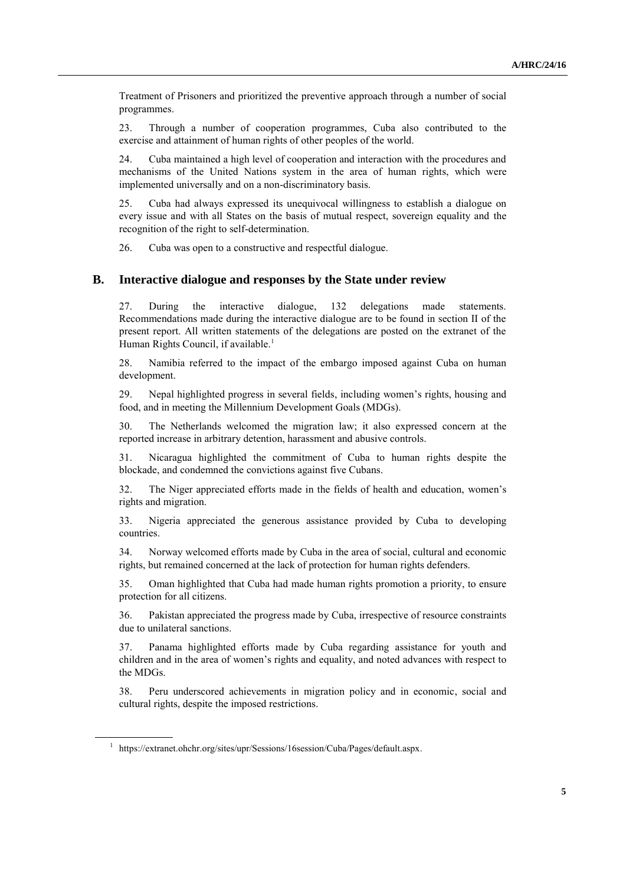Treatment of Prisoners and prioritized the preventive approach through a number of social programmes.

23. Through a number of cooperation programmes, Cuba also contributed to the exercise and attainment of human rights of other peoples of the world.

24. Cuba maintained a high level of cooperation and interaction with the procedures and mechanisms of the United Nations system in the area of human rights, which were implemented universally and on a non-discriminatory basis.

25. Cuba had always expressed its unequivocal willingness to establish a dialogue on every issue and with all States on the basis of mutual respect, sovereign equality and the recognition of the right to self-determination.

26. Cuba was open to a constructive and respectful dialogue.

#### **B. Interactive dialogue and responses by the State under review**

27. During the interactive dialogue, 132 delegations made statements. Recommendations made during the interactive dialogue are to be found in section II of the present report. All written statements of the delegations are posted on the extranet of the Human Rights Council, if available.<sup>1</sup>

28. Namibia referred to the impact of the embargo imposed against Cuba on human development.

29. Nepal highlighted progress in several fields, including women's rights, housing and food, and in meeting the Millennium Development Goals (MDGs).

30. The Netherlands welcomed the migration law; it also expressed concern at the reported increase in arbitrary detention, harassment and abusive controls.

31. Nicaragua highlighted the commitment of Cuba to human rights despite the blockade, and condemned the convictions against five Cubans.

32. The Niger appreciated efforts made in the fields of health and education, women's rights and migration.

33. Nigeria appreciated the generous assistance provided by Cuba to developing countries.

34. Norway welcomed efforts made by Cuba in the area of social, cultural and economic rights, but remained concerned at the lack of protection for human rights defenders.

35. Oman highlighted that Cuba had made human rights promotion a priority, to ensure protection for all citizens.

36. Pakistan appreciated the progress made by Cuba, irrespective of resource constraints due to unilateral sanctions.

37. Panama highlighted efforts made by Cuba regarding assistance for youth and children and in the area of women's rights and equality, and noted advances with respect to the MDGs.

38. Peru underscored achievements in migration policy and in economic, social and cultural rights, despite the imposed restrictions.

<sup>&</sup>lt;sup>1</sup> https://extranet.ohchr.org/sites/upr/Sessions/16session/Cuba/Pages/default.aspx.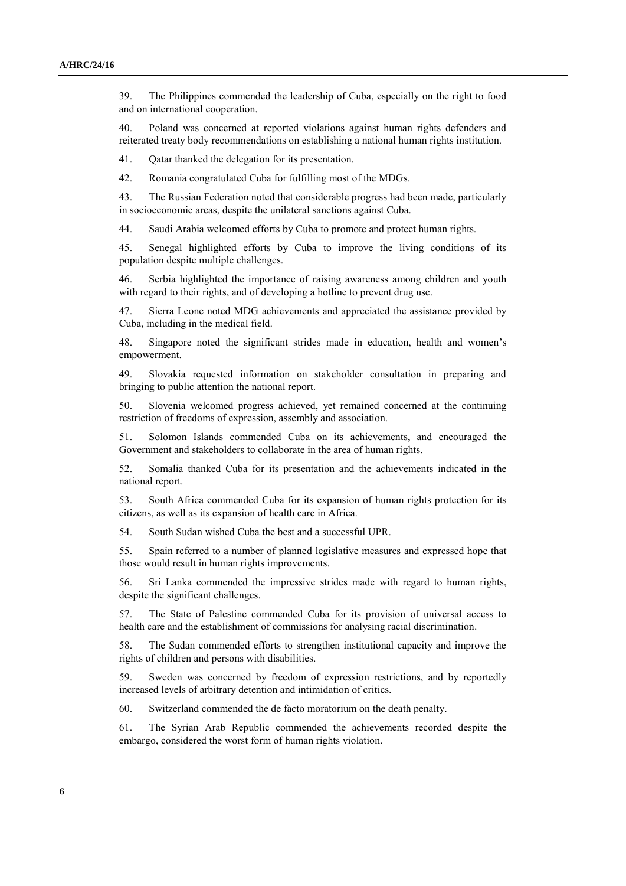39. The Philippines commended the leadership of Cuba, especially on the right to food and on international cooperation.

40. Poland was concerned at reported violations against human rights defenders and reiterated treaty body recommendations on establishing a national human rights institution.

41. Qatar thanked the delegation for its presentation.

42. Romania congratulated Cuba for fulfilling most of the MDGs.

43. The Russian Federation noted that considerable progress had been made, particularly in socioeconomic areas, despite the unilateral sanctions against Cuba.

44. Saudi Arabia welcomed efforts by Cuba to promote and protect human rights.

45. Senegal highlighted efforts by Cuba to improve the living conditions of its population despite multiple challenges.

46. Serbia highlighted the importance of raising awareness among children and youth with regard to their rights, and of developing a hotline to prevent drug use.

47. Sierra Leone noted MDG achievements and appreciated the assistance provided by Cuba, including in the medical field.

48. Singapore noted the significant strides made in education, health and women's empowerment.

49. Slovakia requested information on stakeholder consultation in preparing and bringing to public attention the national report.

50. Slovenia welcomed progress achieved, yet remained concerned at the continuing restriction of freedoms of expression, assembly and association.

51. Solomon Islands commended Cuba on its achievements, and encouraged the Government and stakeholders to collaborate in the area of human rights.

52. Somalia thanked Cuba for its presentation and the achievements indicated in the national report.

53. South Africa commended Cuba for its expansion of human rights protection for its citizens, as well as its expansion of health care in Africa.

54. South Sudan wished Cuba the best and a successful UPR.

55. Spain referred to a number of planned legislative measures and expressed hope that those would result in human rights improvements.

56. Sri Lanka commended the impressive strides made with regard to human rights, despite the significant challenges.

57. The State of Palestine commended Cuba for its provision of universal access to health care and the establishment of commissions for analysing racial discrimination.

58. The Sudan commended efforts to strengthen institutional capacity and improve the rights of children and persons with disabilities.

59. Sweden was concerned by freedom of expression restrictions, and by reportedly increased levels of arbitrary detention and intimidation of critics.

60. Switzerland commended the de facto moratorium on the death penalty.

61. The Syrian Arab Republic commended the achievements recorded despite the embargo, considered the worst form of human rights violation.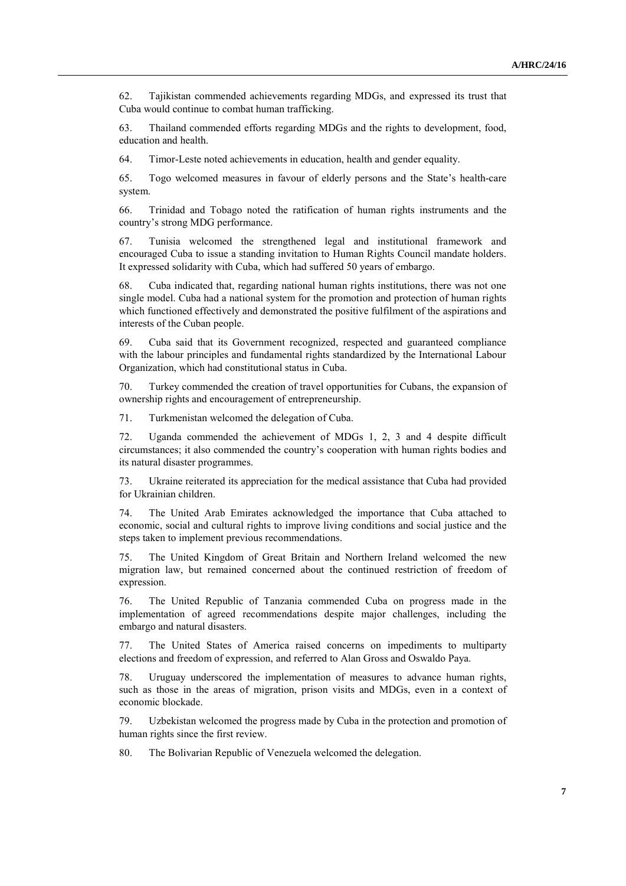62. Tajikistan commended achievements regarding MDGs, and expressed its trust that Cuba would continue to combat human trafficking.

63. Thailand commended efforts regarding MDGs and the rights to development, food, education and health.

64. Timor-Leste noted achievements in education, health and gender equality.

65. Togo welcomed measures in favour of elderly persons and the State's health-care system.

66. Trinidad and Tobago noted the ratification of human rights instruments and the country's strong MDG performance.

67. Tunisia welcomed the strengthened legal and institutional framework and encouraged Cuba to issue a standing invitation to Human Rights Council mandate holders. It expressed solidarity with Cuba, which had suffered 50 years of embargo.

68. Cuba indicated that, regarding national human rights institutions, there was not one single model. Cuba had a national system for the promotion and protection of human rights which functioned effectively and demonstrated the positive fulfilment of the aspirations and interests of the Cuban people.

69. Cuba said that its Government recognized, respected and guaranteed compliance with the labour principles and fundamental rights standardized by the International Labour Organization, which had constitutional status in Cuba.

70. Turkey commended the creation of travel opportunities for Cubans, the expansion of ownership rights and encouragement of entrepreneurship.

71. Turkmenistan welcomed the delegation of Cuba.

72. Uganda commended the achievement of MDGs 1, 2, 3 and 4 despite difficult circumstances; it also commended the country's cooperation with human rights bodies and its natural disaster programmes.

73. Ukraine reiterated its appreciation for the medical assistance that Cuba had provided for Ukrainian children.

74. The United Arab Emirates acknowledged the importance that Cuba attached to economic, social and cultural rights to improve living conditions and social justice and the steps taken to implement previous recommendations.

75. The United Kingdom of Great Britain and Northern Ireland welcomed the new migration law, but remained concerned about the continued restriction of freedom of expression.

76. The United Republic of Tanzania commended Cuba on progress made in the implementation of agreed recommendations despite major challenges, including the embargo and natural disasters.

77. The United States of America raised concerns on impediments to multiparty elections and freedom of expression, and referred to Alan Gross and Oswaldo Paya.

78. Uruguay underscored the implementation of measures to advance human rights, such as those in the areas of migration, prison visits and MDGs, even in a context of economic blockade.

79. Uzbekistan welcomed the progress made by Cuba in the protection and promotion of human rights since the first review.

80. The Bolivarian Republic of Venezuela welcomed the delegation.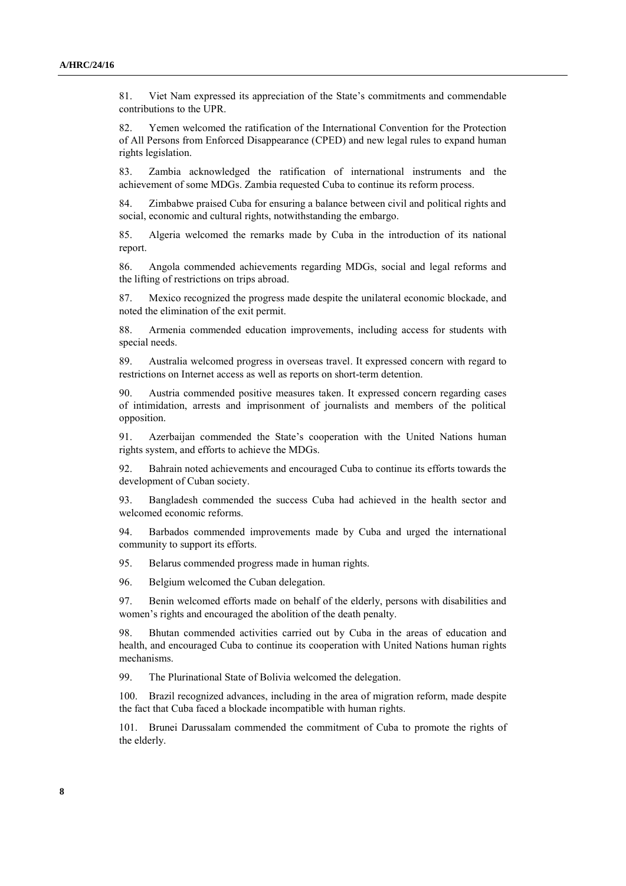81. Viet Nam expressed its appreciation of the State's commitments and commendable contributions to the UPR.

82. Yemen welcomed the ratification of the International Convention for the Protection of All Persons from Enforced Disappearance (CPED) and new legal rules to expand human rights legislation.

83. Zambia acknowledged the ratification of international instruments and the achievement of some MDGs. Zambia requested Cuba to continue its reform process.

84. Zimbabwe praised Cuba for ensuring a balance between civil and political rights and social, economic and cultural rights, notwithstanding the embargo.

85. Algeria welcomed the remarks made by Cuba in the introduction of its national report.

86. Angola commended achievements regarding MDGs, social and legal reforms and the lifting of restrictions on trips abroad.

87. Mexico recognized the progress made despite the unilateral economic blockade, and noted the elimination of the exit permit.

88. Armenia commended education improvements, including access for students with special needs.

89. Australia welcomed progress in overseas travel. It expressed concern with regard to restrictions on Internet access as well as reports on short-term detention.

90. Austria commended positive measures taken. It expressed concern regarding cases of intimidation, arrests and imprisonment of journalists and members of the political opposition.

91. Azerbaijan commended the State's cooperation with the United Nations human rights system, and efforts to achieve the MDGs.

92. Bahrain noted achievements and encouraged Cuba to continue its efforts towards the development of Cuban society.

93. Bangladesh commended the success Cuba had achieved in the health sector and welcomed economic reforms.

94. Barbados commended improvements made by Cuba and urged the international community to support its efforts.

95. Belarus commended progress made in human rights.

96. Belgium welcomed the Cuban delegation.

97. Benin welcomed efforts made on behalf of the elderly, persons with disabilities and women's rights and encouraged the abolition of the death penalty.

98. Bhutan commended activities carried out by Cuba in the areas of education and health, and encouraged Cuba to continue its cooperation with United Nations human rights mechanisms.

99. The Plurinational State of Bolivia welcomed the delegation.

100. Brazil recognized advances, including in the area of migration reform, made despite the fact that Cuba faced a blockade incompatible with human rights.

101. Brunei Darussalam commended the commitment of Cuba to promote the rights of the elderly.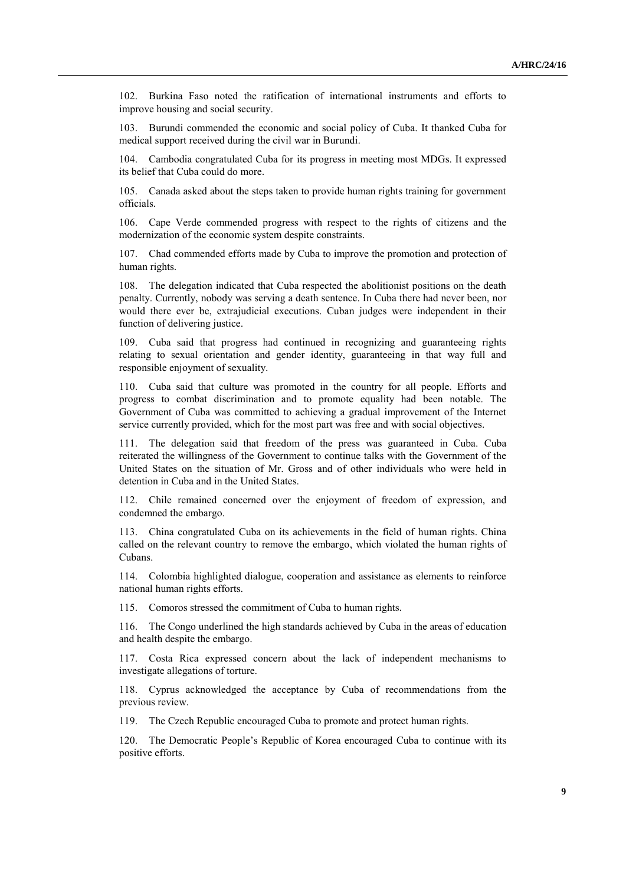102. Burkina Faso noted the ratification of international instruments and efforts to improve housing and social security.

103. Burundi commended the economic and social policy of Cuba. It thanked Cuba for medical support received during the civil war in Burundi.

104. Cambodia congratulated Cuba for its progress in meeting most MDGs. It expressed its belief that Cuba could do more.

105. Canada asked about the steps taken to provide human rights training for government officials.

106. Cape Verde commended progress with respect to the rights of citizens and the modernization of the economic system despite constraints.

107. Chad commended efforts made by Cuba to improve the promotion and protection of human rights.

108. The delegation indicated that Cuba respected the abolitionist positions on the death penalty. Currently, nobody was serving a death sentence. In Cuba there had never been, nor would there ever be, extrajudicial executions. Cuban judges were independent in their function of delivering justice.

109. Cuba said that progress had continued in recognizing and guaranteeing rights relating to sexual orientation and gender identity, guaranteeing in that way full and responsible enjoyment of sexuality.

110. Cuba said that culture was promoted in the country for all people. Efforts and progress to combat discrimination and to promote equality had been notable. The Government of Cuba was committed to achieving a gradual improvement of the Internet service currently provided, which for the most part was free and with social objectives.

111. The delegation said that freedom of the press was guaranteed in Cuba. Cuba reiterated the willingness of the Government to continue talks with the Government of the United States on the situation of Mr. Gross and of other individuals who were held in detention in Cuba and in the United States.

112. Chile remained concerned over the enjoyment of freedom of expression, and condemned the embargo.

113. China congratulated Cuba on its achievements in the field of human rights. China called on the relevant country to remove the embargo, which violated the human rights of Cubans.

114. Colombia highlighted dialogue, cooperation and assistance as elements to reinforce national human rights efforts.

115. Comoros stressed the commitment of Cuba to human rights.

116. The Congo underlined the high standards achieved by Cuba in the areas of education and health despite the embargo.

117. Costa Rica expressed concern about the lack of independent mechanisms to investigate allegations of torture.

118. Cyprus acknowledged the acceptance by Cuba of recommendations from the previous review.

119. The Czech Republic encouraged Cuba to promote and protect human rights.

120. The Democratic People's Republic of Korea encouraged Cuba to continue with its positive efforts.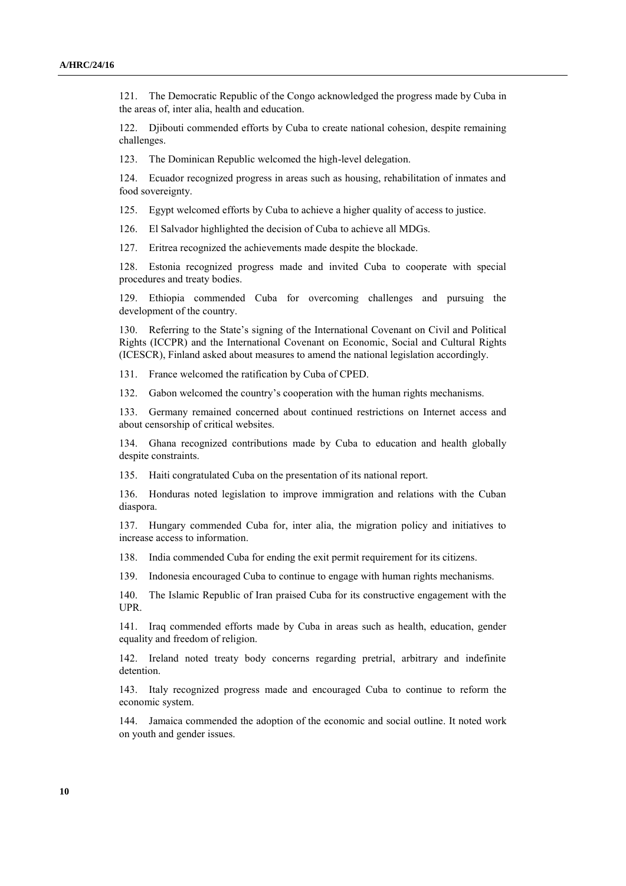121. The Democratic Republic of the Congo acknowledged the progress made by Cuba in the areas of, inter alia, health and education.

122. Djibouti commended efforts by Cuba to create national cohesion, despite remaining challenges.

123. The Dominican Republic welcomed the high-level delegation.

124. Ecuador recognized progress in areas such as housing, rehabilitation of inmates and food sovereignty.

125. Egypt welcomed efforts by Cuba to achieve a higher quality of access to justice.

126. El Salvador highlighted the decision of Cuba to achieve all MDGs.

127. Eritrea recognized the achievements made despite the blockade.

128. Estonia recognized progress made and invited Cuba to cooperate with special procedures and treaty bodies.

129. Ethiopia commended Cuba for overcoming challenges and pursuing the development of the country.

130. Referring to the State's signing of the International Covenant on Civil and Political Rights (ICCPR) and the International Covenant on Economic, Social and Cultural Rights (ICESCR), Finland asked about measures to amend the national legislation accordingly.

131. France welcomed the ratification by Cuba of CPED.

132. Gabon welcomed the country's cooperation with the human rights mechanisms.

133. Germany remained concerned about continued restrictions on Internet access and about censorship of critical websites.

134. Ghana recognized contributions made by Cuba to education and health globally despite constraints.

135. Haiti congratulated Cuba on the presentation of its national report.

136. Honduras noted legislation to improve immigration and relations with the Cuban diaspora.

137. Hungary commended Cuba for, inter alia, the migration policy and initiatives to increase access to information.

138. India commended Cuba for ending the exit permit requirement for its citizens.

139. Indonesia encouraged Cuba to continue to engage with human rights mechanisms.

140. The Islamic Republic of Iran praised Cuba for its constructive engagement with the UPR.

141. Iraq commended efforts made by Cuba in areas such as health, education, gender equality and freedom of religion.

142. Ireland noted treaty body concerns regarding pretrial, arbitrary and indefinite detention.

143. Italy recognized progress made and encouraged Cuba to continue to reform the economic system.

144. Jamaica commended the adoption of the economic and social outline. It noted work on youth and gender issues.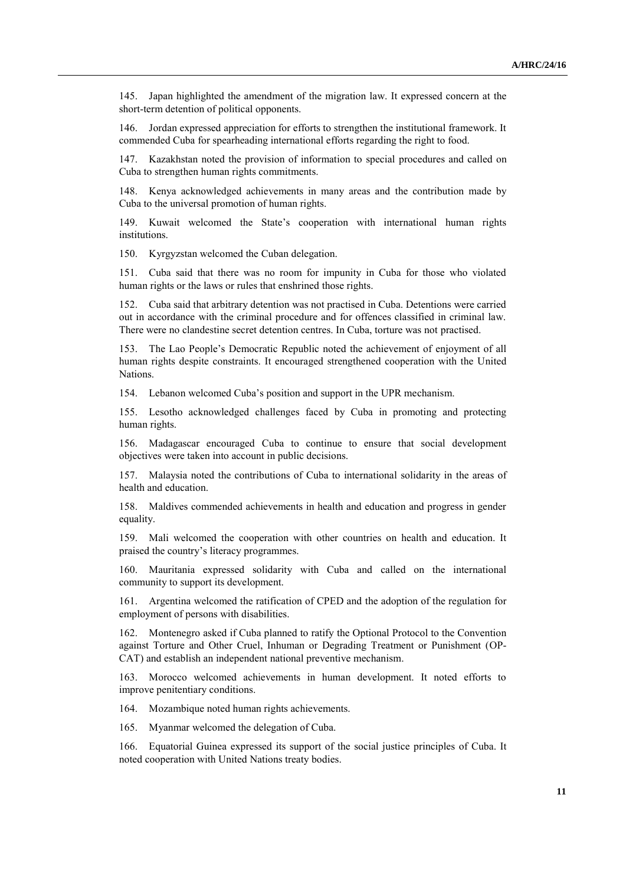145. Japan highlighted the amendment of the migration law. It expressed concern at the short-term detention of political opponents.

146. Jordan expressed appreciation for efforts to strengthen the institutional framework. It commended Cuba for spearheading international efforts regarding the right to food.

147. Kazakhstan noted the provision of information to special procedures and called on Cuba to strengthen human rights commitments.

148. Kenya acknowledged achievements in many areas and the contribution made by Cuba to the universal promotion of human rights.

149. Kuwait welcomed the State's cooperation with international human rights institutions.

150. Kyrgyzstan welcomed the Cuban delegation.

151. Cuba said that there was no room for impunity in Cuba for those who violated human rights or the laws or rules that enshrined those rights.

152. Cuba said that arbitrary detention was not practised in Cuba. Detentions were carried out in accordance with the criminal procedure and for offences classified in criminal law. There were no clandestine secret detention centres. In Cuba, torture was not practised.

153. The Lao People's Democratic Republic noted the achievement of enjoyment of all human rights despite constraints. It encouraged strengthened cooperation with the United Nations.

154. Lebanon welcomed Cuba's position and support in the UPR mechanism.

155. Lesotho acknowledged challenges faced by Cuba in promoting and protecting human rights.

156. Madagascar encouraged Cuba to continue to ensure that social development objectives were taken into account in public decisions.

157. Malaysia noted the contributions of Cuba to international solidarity in the areas of health and education.

158. Maldives commended achievements in health and education and progress in gender equality.

159. Mali welcomed the cooperation with other countries on health and education. It praised the country's literacy programmes.

160. Mauritania expressed solidarity with Cuba and called on the international community to support its development.

161. Argentina welcomed the ratification of CPED and the adoption of the regulation for employment of persons with disabilities.

162. Montenegro asked if Cuba planned to ratify the Optional Protocol to the Convention against Torture and Other Cruel, Inhuman or Degrading Treatment or Punishment (OP-CAT) and establish an independent national preventive mechanism.

163. Morocco welcomed achievements in human development. It noted efforts to improve penitentiary conditions.

164. Mozambique noted human rights achievements.

165. Myanmar welcomed the delegation of Cuba.

166. Equatorial Guinea expressed its support of the social justice principles of Cuba. It noted cooperation with United Nations treaty bodies.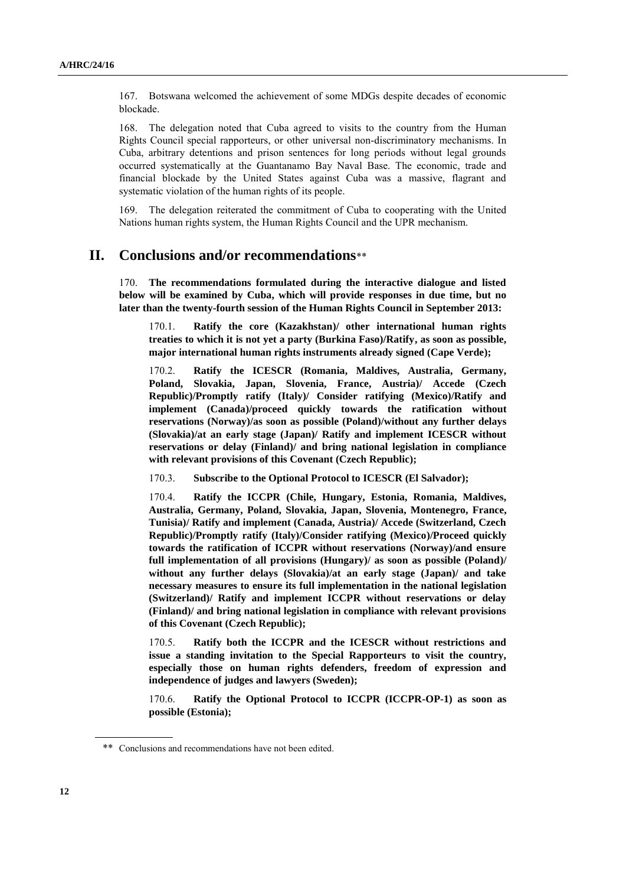167. Botswana welcomed the achievement of some MDGs despite decades of economic blockade.

168. The delegation noted that Cuba agreed to visits to the country from the Human Rights Council special rapporteurs, or other universal non-discriminatory mechanisms. In Cuba, arbitrary detentions and prison sentences for long periods without legal grounds occurred systematically at the Guantanamo Bay Naval Base. The economic, trade and financial blockade by the United States against Cuba was a massive, flagrant and systematic violation of the human rights of its people.

169. The delegation reiterated the commitment of Cuba to cooperating with the United Nations human rights system, the Human Rights Council and the UPR mechanism.

### **II. Conclusions and/or recommendations**\*\*

170. **The recommendations formulated during the interactive dialogue and listed below will be examined by Cuba, which will provide responses in due time, but no later than the twenty-fourth session of the Human Rights Council in September 2013:**

170.1. **Ratify the core (Kazakhstan)/ other international human rights treaties to which it is not yet a party (Burkina Faso)/Ratify, as soon as possible, major international human rights instruments already signed (Cape Verde);**

170.2. **Ratify the ICESCR (Romania, Maldives, Australia, Germany, Poland, Slovakia, Japan, Slovenia, France, Austria)/ Accede (Czech Republic)/Promptly ratify (Italy)/ Consider ratifying (Mexico)/Ratify and implement (Canada)/proceed quickly towards the ratification without reservations (Norway)/as soon as possible (Poland)/without any further delays (Slovakia)/at an early stage (Japan)/ Ratify and implement ICESCR without reservations or delay (Finland)/ and bring national legislation in compliance with relevant provisions of this Covenant (Czech Republic);**

170.3. **Subscribe to the Optional Protocol to ICESCR (El Salvador);**

170.4. **Ratify the ICCPR (Chile, Hungary, Estonia, Romania, Maldives, Australia, Germany, Poland, Slovakia, Japan, Slovenia, Montenegro, France, Tunisia)/ Ratify and implement (Canada, Austria)/ Accede (Switzerland, Czech Republic)/Promptly ratify (Italy)/Consider ratifying (Mexico)/Proceed quickly towards the ratification of ICCPR without reservations (Norway)/and ensure full implementation of all provisions (Hungary)/ as soon as possible (Poland)/ without any further delays (Slovakia)/at an early stage (Japan)/ and take necessary measures to ensure its full implementation in the national legislation (Switzerland)/ Ratify and implement ICCPR without reservations or delay (Finland)/ and bring national legislation in compliance with relevant provisions of this Covenant (Czech Republic);**

170.5. **Ratify both the ICCPR and the ICESCR without restrictions and issue a standing invitation to the Special Rapporteurs to visit the country, especially those on human rights defenders, freedom of expression and independence of judges and lawyers (Sweden);**

170.6. **Ratify the Optional Protocol to ICCPR (ICCPR-OP-1) as soon as possible (Estonia);**

<sup>\*\*</sup> Conclusions and recommendations have not been edited.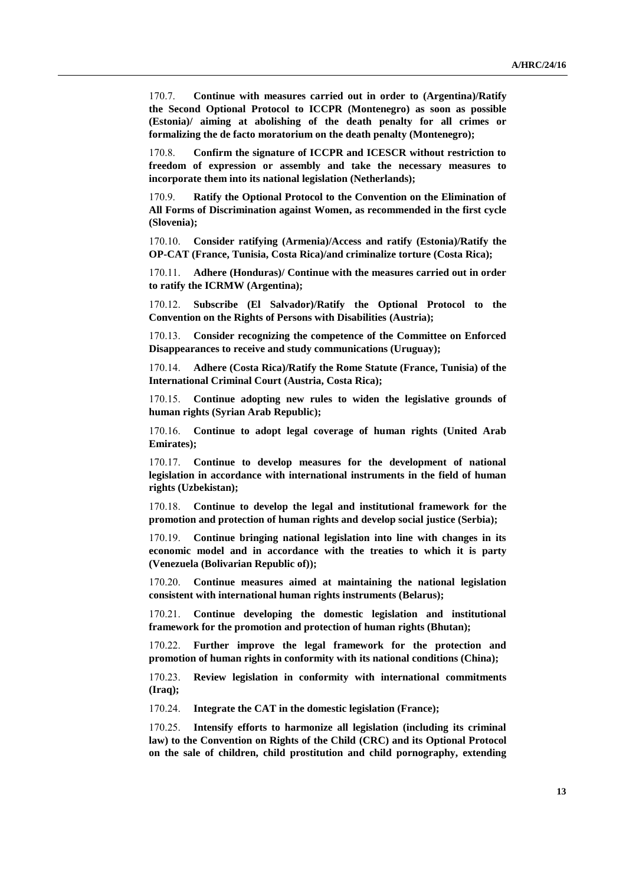170.7. **Continue with measures carried out in order to (Argentina)/Ratify the Second Optional Protocol to ICCPR (Montenegro) as soon as possible (Estonia)/ aiming at abolishing of the death penalty for all crimes or formalizing the de facto moratorium on the death penalty (Montenegro);**

170.8. **Confirm the signature of ICCPR and ICESCR without restriction to freedom of expression or assembly and take the necessary measures to incorporate them into its national legislation (Netherlands);**

170.9. **Ratify the Optional Protocol to the Convention on the Elimination of All Forms of Discrimination against Women, as recommended in the first cycle (Slovenia);**

170.10. **Consider ratifying (Armenia)/Access and ratify (Estonia)/Ratify the OP-CAT (France, Tunisia, Costa Rica)/and criminalize torture (Costa Rica);**

170.11. **Adhere (Honduras)/ Continue with the measures carried out in order to ratify the ICRMW (Argentina);**

170.12. **Subscribe (El Salvador)/Ratify the Optional Protocol to the Convention on the Rights of Persons with Disabilities (Austria);**

170.13. **Consider recognizing the competence of the Committee on Enforced Disappearances to receive and study communications (Uruguay);**

170.14. **Adhere (Costa Rica)/Ratify the Rome Statute (France, Tunisia) of the International Criminal Court (Austria, Costa Rica);**

170.15. **Continue adopting new rules to widen the legislative grounds of human rights (Syrian Arab Republic);**

170.16. **Continue to adopt legal coverage of human rights (United Arab Emirates);**

170.17. **Continue to develop measures for the development of national legislation in accordance with international instruments in the field of human rights (Uzbekistan);**

170.18. **Continue to develop the legal and institutional framework for the promotion and protection of human rights and develop social justice (Serbia);**

170.19. **Continue bringing national legislation into line with changes in its economic model and in accordance with the treaties to which it is party (Venezuela (Bolivarian Republic of));**

170.20. **Continue measures aimed at maintaining the national legislation consistent with international human rights instruments (Belarus);**

170.21. **Continue developing the domestic legislation and institutional framework for the promotion and protection of human rights (Bhutan);**

170.22. **Further improve the legal framework for the protection and promotion of human rights in conformity with its national conditions (China);**

170.23. **Review legislation in conformity with international commitments (Iraq);**

170.24. **Integrate the CAT in the domestic legislation (France);**

170.25. **Intensify efforts to harmonize all legislation (including its criminal law) to the Convention on Rights of the Child (CRC) and its Optional Protocol on the sale of children, child prostitution and child pornography, extending**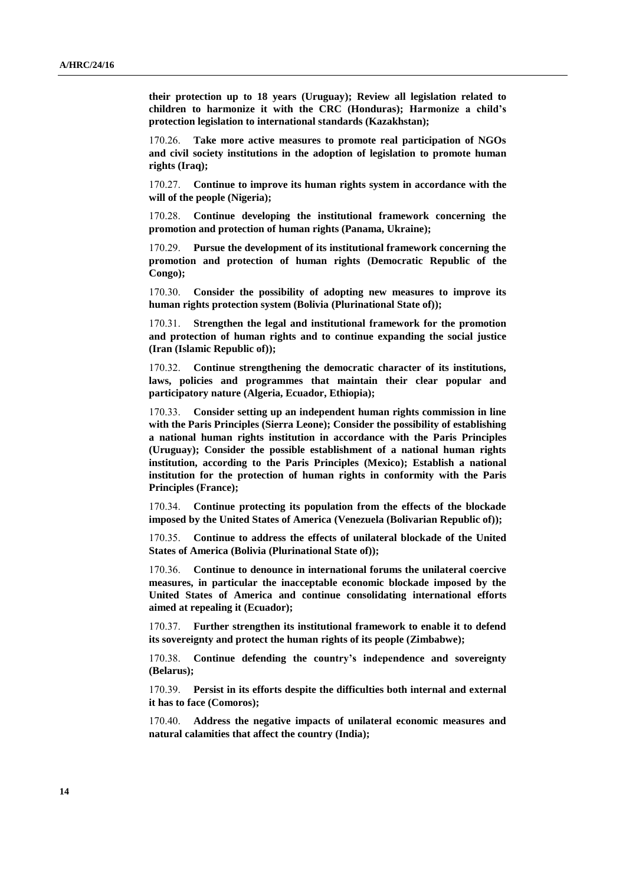**their protection up to 18 years (Uruguay); Review all legislation related to children to harmonize it with the CRC (Honduras); Harmonize a child's protection legislation to international standards (Kazakhstan);**

170.26. **Take more active measures to promote real participation of NGOs and civil society institutions in the adoption of legislation to promote human rights (Iraq);**

170.27. **Continue to improve its human rights system in accordance with the will of the people (Nigeria);**

170.28. **Continue developing the institutional framework concerning the promotion and protection of human rights (Panama, Ukraine);**

Pursue the development of its institutional framework concerning the **promotion and protection of human rights (Democratic Republic of the Congo);**

170.30. **Consider the possibility of adopting new measures to improve its human rights protection system (Bolivia (Plurinational State of));**

170.31. **Strengthen the legal and institutional framework for the promotion and protection of human rights and to continue expanding the social justice (Iran (Islamic Republic of));**

170.32. **Continue strengthening the democratic character of its institutions, laws, policies and programmes that maintain their clear popular and participatory nature (Algeria, Ecuador, Ethiopia);**

170.33. **Consider setting up an independent human rights commission in line with the Paris Principles (Sierra Leone); Consider the possibility of establishing a national human rights institution in accordance with the Paris Principles (Uruguay); Consider the possible establishment of a national human rights institution, according to the Paris Principles (Mexico); Establish a national institution for the protection of human rights in conformity with the Paris Principles (France);**

170.34. **Continue protecting its population from the effects of the blockade imposed by the United States of America (Venezuela (Bolivarian Republic of));**

170.35. **Continue to address the effects of unilateral blockade of the United States of America (Bolivia (Plurinational State of));**

170.36. **Continue to denounce in international forums the unilateral coercive measures, in particular the inacceptable economic blockade imposed by the United States of America and continue consolidating international efforts aimed at repealing it (Ecuador);**

170.37. **Further strengthen its institutional framework to enable it to defend its sovereignty and protect the human rights of its people (Zimbabwe);**

170.38. **Continue defending the country's independence and sovereignty (Belarus);**

170.39. **Persist in its efforts despite the difficulties both internal and external it has to face (Comoros);**

170.40. **Address the negative impacts of unilateral economic measures and natural calamities that affect the country (India);**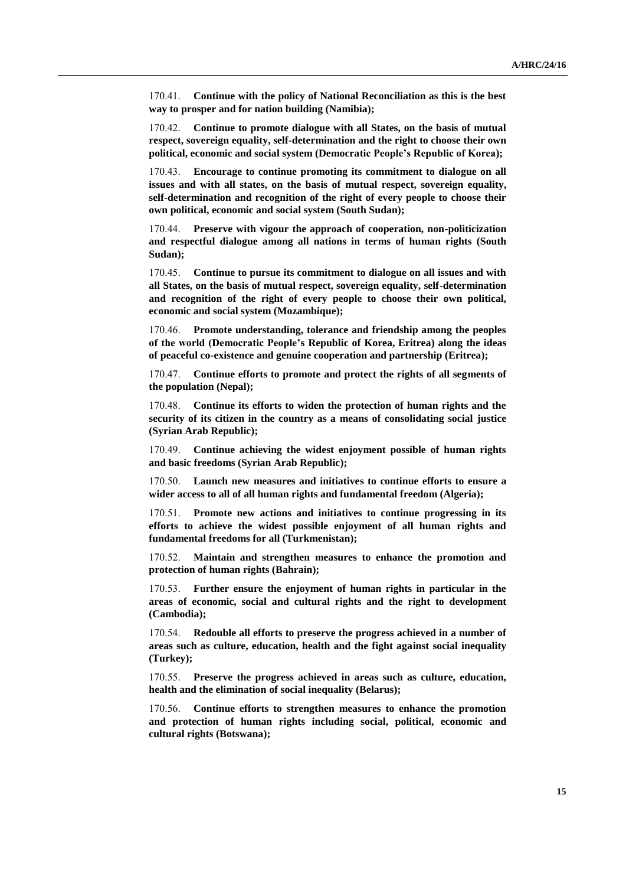170.41. **Continue with the policy of National Reconciliation as this is the best way to prosper and for nation building (Namibia);**

170.42. **Continue to promote dialogue with all States, on the basis of mutual respect, sovereign equality, self-determination and the right to choose their own political, economic and social system (Democratic People's Republic of Korea);**

170.43. **Encourage to continue promoting its commitment to dialogue on all issues and with all states, on the basis of mutual respect, sovereign equality, self-determination and recognition of the right of every people to choose their own political, economic and social system (South Sudan);**

170.44. **Preserve with vigour the approach of cooperation, non-politicization and respectful dialogue among all nations in terms of human rights (South Sudan);**

170.45. **Continue to pursue its commitment to dialogue on all issues and with all States, on the basis of mutual respect, sovereign equality, self-determination and recognition of the right of every people to choose their own political, economic and social system (Mozambique);**

170.46. **Promote understanding, tolerance and friendship among the peoples of the world (Democratic People's Republic of Korea, Eritrea) along the ideas of peaceful co-existence and genuine cooperation and partnership (Eritrea);**

170.47. **Continue efforts to promote and protect the rights of all segments of the population (Nepal);**

170.48. **Continue its efforts to widen the protection of human rights and the security of its citizen in the country as a means of consolidating social justice (Syrian Arab Republic);**

170.49. **Continue achieving the widest enjoyment possible of human rights and basic freedoms (Syrian Arab Republic);**

170.50. **Launch new measures and initiatives to continue efforts to ensure a wider access to all of all human rights and fundamental freedom (Algeria);**

170.51. **Promote new actions and initiatives to continue progressing in its efforts to achieve the widest possible enjoyment of all human rights and fundamental freedoms for all (Turkmenistan);**

170.52. **Maintain and strengthen measures to enhance the promotion and protection of human rights (Bahrain);**

170.53. **Further ensure the enjoyment of human rights in particular in the areas of economic, social and cultural rights and the right to development (Cambodia);** 

170.54. **Redouble all efforts to preserve the progress achieved in a number of areas such as culture, education, health and the fight against social inequality (Turkey);**

170.55. **Preserve the progress achieved in areas such as culture, education, health and the elimination of social inequality (Belarus);**

170.56. **Continue efforts to strengthen measures to enhance the promotion and protection of human rights including social, political, economic and cultural rights (Botswana);**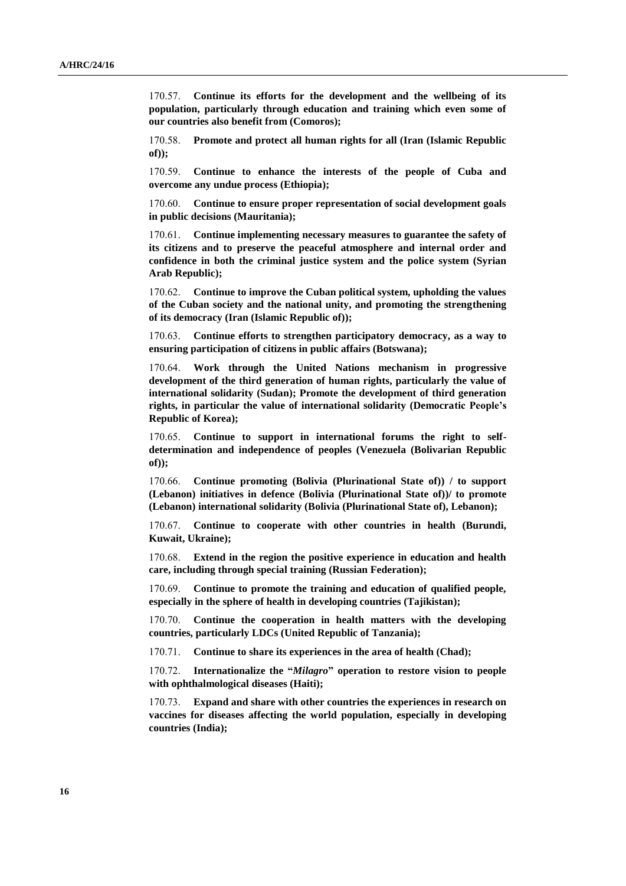170.57. **Continue its efforts for the development and the wellbeing of its population, particularly through education and training which even some of our countries also benefit from (Comoros);**

170.58. **Promote and protect all human rights for all (Iran (Islamic Republic of));**

170.59. **Continue to enhance the interests of the people of Cuba and overcome any undue process (Ethiopia);**

170.60. **Continue to ensure proper representation of social development goals in public decisions (Mauritania);**

170.61. **Continue implementing necessary measures to guarantee the safety of its citizens and to preserve the peaceful atmosphere and internal order and confidence in both the criminal justice system and the police system (Syrian Arab Republic);**

170.62. **Continue to improve the Cuban political system, upholding the values of the Cuban society and the national unity, and promoting the strengthening of its democracy (Iran (Islamic Republic of));**

170.63. **Continue efforts to strengthen participatory democracy, as a way to ensuring participation of citizens in public affairs (Botswana);**

170.64. **Work through the United Nations mechanism in progressive development of the third generation of human rights, particularly the value of international solidarity (Sudan); Promote the development of third generation rights, in particular the value of international solidarity (Democratic People's Republic of Korea);**

170.65. **Continue to support in international forums the right to selfdetermination and independence of peoples (Venezuela (Bolivarian Republic of));**

170.66. **Continue promoting (Bolivia (Plurinational State of)) / to support (Lebanon) initiatives in defence (Bolivia (Plurinational State of))/ to promote (Lebanon) international solidarity (Bolivia (Plurinational State of), Lebanon);**

170.67. **Continue to cooperate with other countries in health (Burundi, Kuwait, Ukraine);**

170.68. **Extend in the region the positive experience in education and health care, including through special training (Russian Federation);**

170.69. **Continue to promote the training and education of qualified people, especially in the sphere of health in developing countries (Tajikistan);**

170.70. **Continue the cooperation in health matters with the developing countries, particularly LDCs (United Republic of Tanzania);**

170.71. **Continue to share its experiences in the area of health (Chad);**

170.72. **Internationalize the "***Milagro***" operation to restore vision to people with ophthalmological diseases (Haiti);**

170.73. **Expand and share with other countries the experiences in research on vaccines for diseases affecting the world population, especially in developing countries (India);**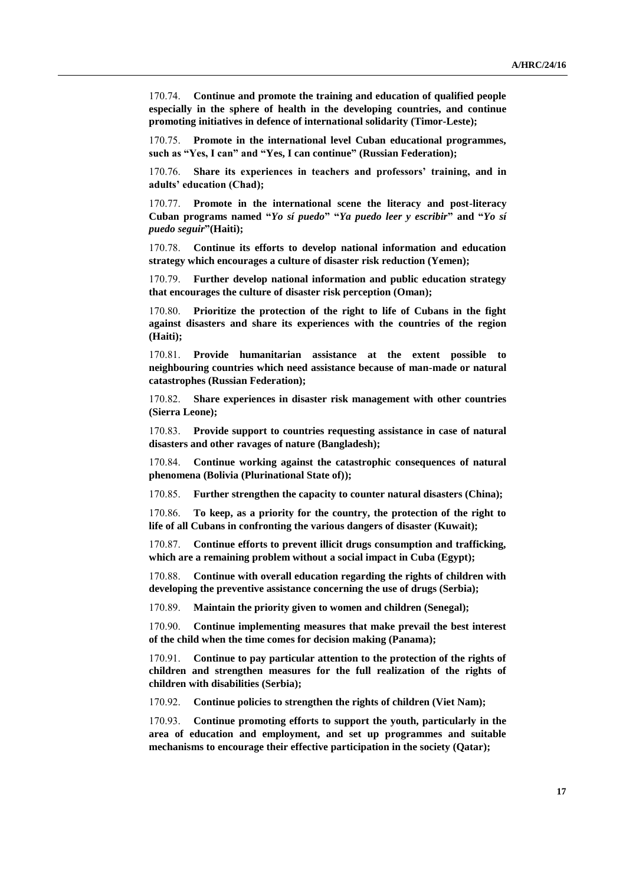170.74. **Continue and promote the training and education of qualified people especially in the sphere of health in the developing countries, and continue promoting initiatives in defence of international solidarity (Timor-Leste);**

170.75. **Promote in the international level Cuban educational programmes, such as "Yes, I can" and "Yes, I can continue" (Russian Federation);**

170.76. **Share its experiences in teachers and professors' training, and in adults' education (Chad);**

170.77. **Promote in the international scene the literacy and post-literacy Cuban programs named "***Yo sí puedo***" "***Ya puedo leer y escribir***" and "***Yo sí puedo seguir***"(Haiti);**

170.78. **Continue its efforts to develop national information and education strategy which encourages a culture of disaster risk reduction (Yemen);**

170.79. **Further develop national information and public education strategy that encourages the culture of disaster risk perception (Oman);**

170.80. **Prioritize the protection of the right to life of Cubans in the fight against disasters and share its experiences with the countries of the region (Haiti);**

170.81. **Provide humanitarian assistance at the extent possible to neighbouring countries which need assistance because of man-made or natural catastrophes (Russian Federation);**

170.82. **Share experiences in disaster risk management with other countries (Sierra Leone);**

170.83. **Provide support to countries requesting assistance in case of natural disasters and other ravages of nature (Bangladesh);**

170.84. **Continue working against the catastrophic consequences of natural phenomena (Bolivia (Plurinational State of));**

170.85. **Further strengthen the capacity to counter natural disasters (China);**

170.86. **To keep, as a priority for the country, the protection of the right to life of all Cubans in confronting the various dangers of disaster (Kuwait);**

170.87. **Continue efforts to prevent illicit drugs consumption and trafficking, which are a remaining problem without a social impact in Cuba (Egypt);**

170.88. **Continue with overall education regarding the rights of children with developing the preventive assistance concerning the use of drugs (Serbia);**

170.89. **Maintain the priority given to women and children (Senegal);**

170.90. **Continue implementing measures that make prevail the best interest of the child when the time comes for decision making (Panama);**

170.91. **Continue to pay particular attention to the protection of the rights of children and strengthen measures for the full realization of the rights of children with disabilities (Serbia);**

170.92. **Continue policies to strengthen the rights of children (Viet Nam);**

170.93. **Continue promoting efforts to support the youth, particularly in the area of education and employment, and set up programmes and suitable mechanisms to encourage their effective participation in the society (Qatar);**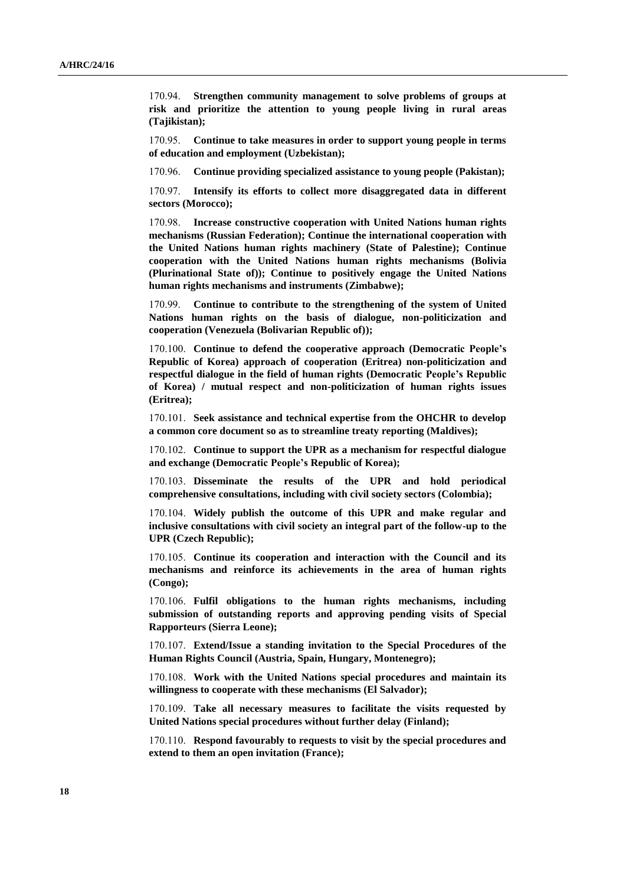170.94. **Strengthen community management to solve problems of groups at risk and prioritize the attention to young people living in rural areas (Tajikistan);**

170.95. **Continue to take measures in order to support young people in terms of education and employment (Uzbekistan);**

170.96. **Continue providing specialized assistance to young people (Pakistan);**

170.97. **Intensify its efforts to collect more disaggregated data in different sectors (Morocco);**

170.98. **Increase constructive cooperation with United Nations human rights mechanisms (Russian Federation); Continue the international cooperation with the United Nations human rights machinery (State of Palestine); Continue cooperation with the United Nations human rights mechanisms (Bolivia (Plurinational State of)); Continue to positively engage the United Nations human rights mechanisms and instruments (Zimbabwe);**

170.99. **Continue to contribute to the strengthening of the system of United Nations human rights on the basis of dialogue, non-politicization and cooperation (Venezuela (Bolivarian Republic of));**

170.100. **Continue to defend the cooperative approach (Democratic People's Republic of Korea) approach of cooperation (Eritrea) non-politicization and respectful dialogue in the field of human rights (Democratic People's Republic of Korea) / mutual respect and non-politicization of human rights issues (Eritrea);**

170.101. **Seek assistance and technical expertise from the OHCHR to develop a common core document so as to streamline treaty reporting (Maldives);**

170.102. **Continue to support the UPR as a mechanism for respectful dialogue and exchange (Democratic People's Republic of Korea);**

170.103. **Disseminate the results of the UPR and hold periodical comprehensive consultations, including with civil society sectors (Colombia);**

170.104. **Widely publish the outcome of this UPR and make regular and inclusive consultations with civil society an integral part of the follow-up to the UPR (Czech Republic);**

170.105. **Continue its cooperation and interaction with the Council and its mechanisms and reinforce its achievements in the area of human rights (Congo);**

170.106. **Fulfil obligations to the human rights mechanisms, including submission of outstanding reports and approving pending visits of Special Rapporteurs (Sierra Leone);**

170.107. **Extend/Issue a standing invitation to the Special Procedures of the Human Rights Council (Austria, Spain, Hungary, Montenegro);**

170.108. **Work with the United Nations special procedures and maintain its willingness to cooperate with these mechanisms (El Salvador);**

170.109. **Take all necessary measures to facilitate the visits requested by United Nations special procedures without further delay (Finland);**

170.110. **Respond favourably to requests to visit by the special procedures and extend to them an open invitation (France);**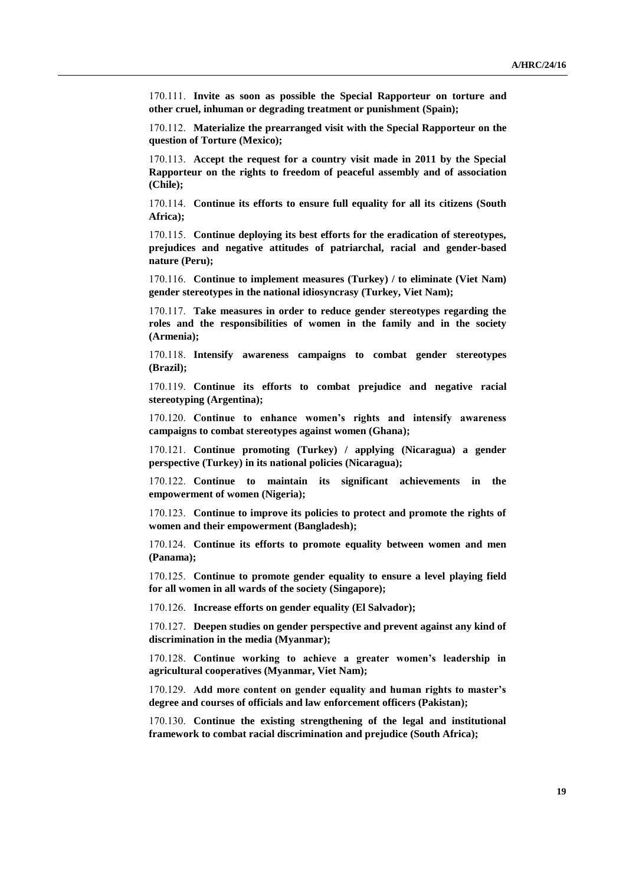170.111. **Invite as soon as possible the Special Rapporteur on torture and other cruel, inhuman or degrading treatment or punishment (Spain);**

170.112. **Materialize the prearranged visit with the Special Rapporteur on the question of Torture (Mexico);**

170.113. **Accept the request for a country visit made in 2011 by the Special Rapporteur on the rights to freedom of peaceful assembly and of association (Chile);**

170.114. **Continue its efforts to ensure full equality for all its citizens (South Africa);**

170.115. **Continue deploying its best efforts for the eradication of stereotypes, prejudices and negative attitudes of patriarchal, racial and gender-based nature (Peru);**

170.116. **Continue to implement measures (Turkey) / to eliminate (Viet Nam) gender stereotypes in the national idiosyncrasy (Turkey, Viet Nam);**

170.117. **Take measures in order to reduce gender stereotypes regarding the roles and the responsibilities of women in the family and in the society (Armenia);**

170.118. **Intensify awareness campaigns to combat gender stereotypes (Brazil);**

170.119. **Continue its efforts to combat prejudice and negative racial stereotyping (Argentina);**

170.120. **Continue to enhance women's rights and intensify awareness campaigns to combat stereotypes against women (Ghana);**

170.121. **Continue promoting (Turkey) / applying (Nicaragua) a gender perspective (Turkey) in its national policies (Nicaragua);**

170.122. **Continue to maintain its significant achievements in the empowerment of women (Nigeria);**

170.123. **Continue to improve its policies to protect and promote the rights of women and their empowerment (Bangladesh);**

170.124. **Continue its efforts to promote equality between women and men (Panama);**

170.125. **Continue to promote gender equality to ensure a level playing field for all women in all wards of the society (Singapore);**

170.126. **Increase efforts on gender equality (El Salvador);**

170.127. **Deepen studies on gender perspective and prevent against any kind of discrimination in the media (Myanmar);** 

170.128. **Continue working to achieve a greater women's leadership in agricultural cooperatives (Myanmar, Viet Nam);**

170.129. **Add more content on gender equality and human rights to master's degree and courses of officials and law enforcement officers (Pakistan);**

170.130. **Continue the existing strengthening of the legal and institutional framework to combat racial discrimination and prejudice (South Africa);**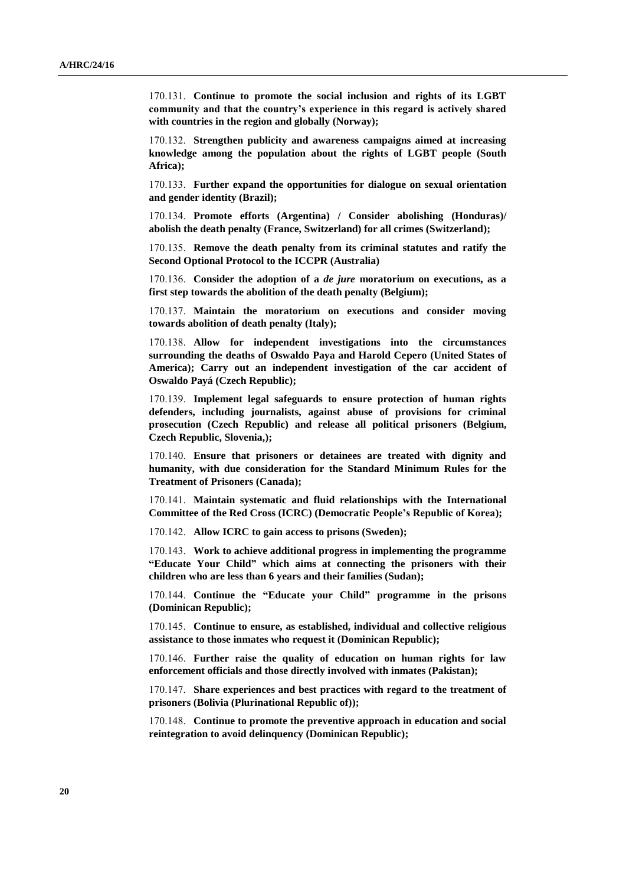170.131. **Continue to promote the social inclusion and rights of its LGBT community and that the country's experience in this regard is actively shared with countries in the region and globally (Norway);**

170.132. **Strengthen publicity and awareness campaigns aimed at increasing knowledge among the population about the rights of LGBT people (South Africa);**

170.133. **Further expand the opportunities for dialogue on sexual orientation and gender identity (Brazil);**

170.134. **Promote efforts (Argentina) / Consider abolishing (Honduras)/ abolish the death penalty (France, Switzerland) for all crimes (Switzerland);**

170.135. **Remove the death penalty from its criminal statutes and ratify the Second Optional Protocol to the ICCPR (Australia)**

170.136. **Consider the adoption of a** *de jure* **moratorium on executions, as a first step towards the abolition of the death penalty (Belgium);**

170.137. **Maintain the moratorium on executions and consider moving towards abolition of death penalty (Italy);**

170.138. **Allow for independent investigations into the circumstances surrounding the deaths of Oswaldo Paya and Harold Cepero (United States of America); Carry out an independent investigation of the car accident of Oswaldo Payá (Czech Republic);**

170.139. **Implement legal safeguards to ensure protection of human rights defenders, including journalists, against abuse of provisions for criminal prosecution (Czech Republic) and release all political prisoners (Belgium, Czech Republic, Slovenia,);**

170.140. **Ensure that prisoners or detainees are treated with dignity and humanity, with due consideration for the Standard Minimum Rules for the Treatment of Prisoners (Canada);**

170.141. **Maintain systematic and fluid relationships with the International Committee of the Red Cross (ICRC) (Democratic People's Republic of Korea);**

170.142. **Allow ICRC to gain access to prisons (Sweden);**

170.143. **Work to achieve additional progress in implementing the programme "Educate Your Child" which aims at connecting the prisoners with their children who are less than 6 years and their families (Sudan);**

170.144. **Continue the "Educate your Child" programme in the prisons (Dominican Republic);**

170.145. **Continue to ensure, as established, individual and collective religious assistance to those inmates who request it (Dominican Republic);**

170.146. **Further raise the quality of education on human rights for law enforcement officials and those directly involved with inmates (Pakistan);**

170.147. **Share experiences and best practices with regard to the treatment of prisoners (Bolivia (Plurinational Republic of));**

170.148. **Continue to promote the preventive approach in education and social reintegration to avoid delinquency (Dominican Republic);**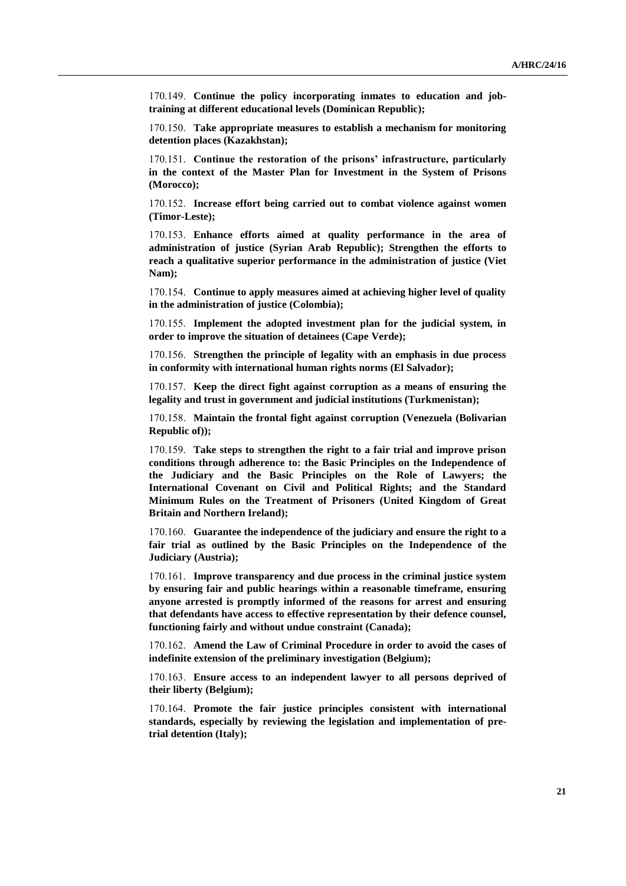170.149. **Continue the policy incorporating inmates to education and jobtraining at different educational levels (Dominican Republic);**

170.150. **Take appropriate measures to establish a mechanism for monitoring detention places (Kazakhstan);**

170.151. **Continue the restoration of the prisons' infrastructure, particularly in the context of the Master Plan for Investment in the System of Prisons (Morocco);**

170.152. **Increase effort being carried out to combat violence against women (Timor-Leste);**

170.153. **Enhance efforts aimed at quality performance in the area of administration of justice (Syrian Arab Republic); Strengthen the efforts to reach a qualitative superior performance in the administration of justice (Viet Nam);**

170.154. **Continue to apply measures aimed at achieving higher level of quality in the administration of justice (Colombia);**

170.155. **Implement the adopted investment plan for the judicial system, in order to improve the situation of detainees (Cape Verde);**

170.156. **Strengthen the principle of legality with an emphasis in due process in conformity with international human rights norms (El Salvador);**

170.157. **Keep the direct fight against corruption as a means of ensuring the legality and trust in government and judicial institutions (Turkmenistan);**

170.158. **Maintain the frontal fight against corruption (Venezuela (Bolivarian Republic of));**

170.159. **Take steps to strengthen the right to a fair trial and improve prison conditions through adherence to: the Basic Principles on the Independence of the Judiciary and the Basic Principles on the Role of Lawyers; the International Covenant on Civil and Political Rights; and the Standard Minimum Rules on the Treatment of Prisoners (United Kingdom of Great Britain and Northern Ireland);**

170.160. **Guarantee the independence of the judiciary and ensure the right to a fair trial as outlined by the Basic Principles on the Independence of the Judiciary (Austria);**

170.161. **Improve transparency and due process in the criminal justice system by ensuring fair and public hearings within a reasonable timeframe, ensuring anyone arrested is promptly informed of the reasons for arrest and ensuring that defendants have access to effective representation by their defence counsel, functioning fairly and without undue constraint (Canada);**

170.162. **Amend the Law of Criminal Procedure in order to avoid the cases of indefinite extension of the preliminary investigation (Belgium);**

170.163. **Ensure access to an independent lawyer to all persons deprived of their liberty (Belgium);**

170.164. **Promote the fair justice principles consistent with international standards, especially by reviewing the legislation and implementation of pretrial detention (Italy);**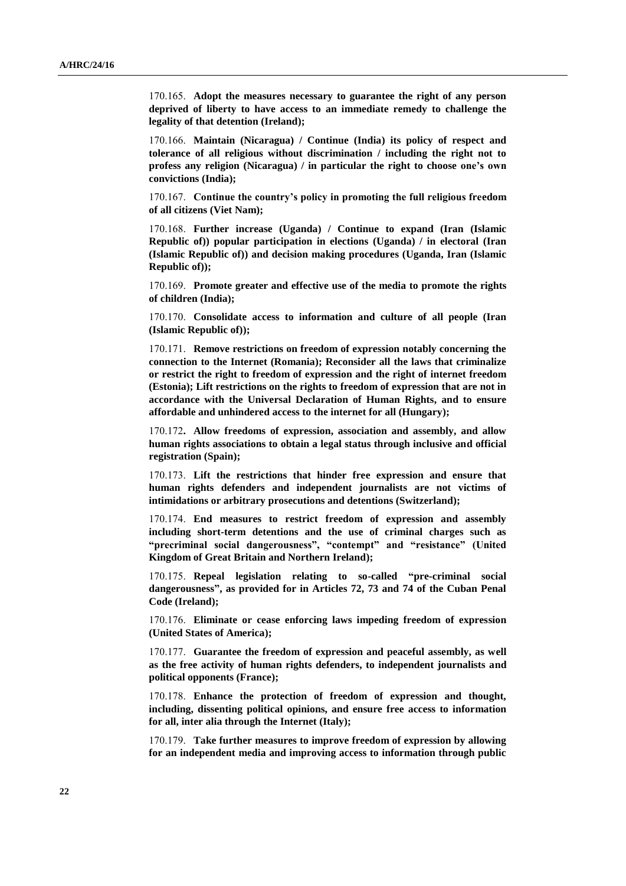170.165. **Adopt the measures necessary to guarantee the right of any person deprived of liberty to have access to an immediate remedy to challenge the legality of that detention (Ireland);**

170.166. **Maintain (Nicaragua) / Continue (India) its policy of respect and tolerance of all religious without discrimination / including the right not to profess any religion (Nicaragua) / in particular the right to choose one's own convictions (India);**

170.167. **Continue the country's policy in promoting the full religious freedom of all citizens (Viet Nam);**

170.168. **Further increase (Uganda) / Continue to expand (Iran (Islamic Republic of)) popular participation in elections (Uganda) / in electoral (Iran (Islamic Republic of)) and decision making procedures (Uganda, Iran (Islamic Republic of));**

170.169. **Promote greater and effective use of the media to promote the rights of children (India);**

170.170. **Consolidate access to information and culture of all people (Iran (Islamic Republic of));**

170.171. **Remove restrictions on freedom of expression notably concerning the connection to the Internet (Romania); Reconsider all the laws that criminalize or restrict the right to freedom of expression and the right of internet freedom (Estonia); Lift restrictions on the rights to freedom of expression that are not in accordance with the Universal Declaration of Human Rights, and to ensure affordable and unhindered access to the internet for all (Hungary);**

170.172**. Allow freedoms of expression, association and assembly, and allow human rights associations to obtain a legal status through inclusive and official registration (Spain);**

170.173. **Lift the restrictions that hinder free expression and ensure that human rights defenders and independent journalists are not victims of intimidations or arbitrary prosecutions and detentions (Switzerland);**

170.174. **End measures to restrict freedom of expression and assembly including short-term detentions and the use of criminal charges such as "precriminal social dangerousness", "contempt" and "resistance" (United Kingdom of Great Britain and Northern Ireland);**

170.175. **Repeal legislation relating to so-called "pre-criminal social dangerousness", as provided for in Articles 72, 73 and 74 of the Cuban Penal Code (Ireland);**

170.176. **Eliminate or cease enforcing laws impeding freedom of expression (United States of America);**

170.177. **Guarantee the freedom of expression and peaceful assembly, as well as the free activity of human rights defenders, to independent journalists and political opponents (France);**

170.178. **Enhance the protection of freedom of expression and thought, including, dissenting political opinions, and ensure free access to information for all, inter alia through the Internet (Italy);**

170.179. **Take further measures to improve freedom of expression by allowing for an independent media and improving access to information through public**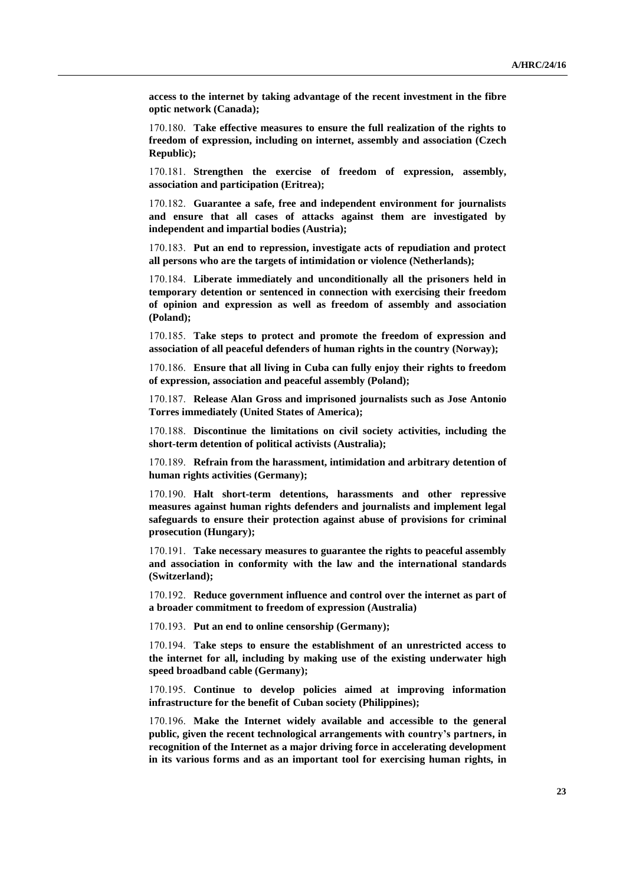**access to the internet by taking advantage of the recent investment in the fibre optic network (Canada);**

170.180. **Take effective measures to ensure the full realization of the rights to freedom of expression, including on internet, assembly and association (Czech Republic);**

170.181. **Strengthen the exercise of freedom of expression, assembly, association and participation (Eritrea);**

170.182. **Guarantee a safe, free and independent environment for journalists and ensure that all cases of attacks against them are investigated by independent and impartial bodies (Austria);**

170.183. **Put an end to repression, investigate acts of repudiation and protect all persons who are the targets of intimidation or violence (Netherlands);**

170.184. **Liberate immediately and unconditionally all the prisoners held in temporary detention or sentenced in connection with exercising their freedom of opinion and expression as well as freedom of assembly and association (Poland);**

170.185. **Take steps to protect and promote the freedom of expression and association of all peaceful defenders of human rights in the country (Norway);**

170.186. **Ensure that all living in Cuba can fully enjoy their rights to freedom of expression, association and peaceful assembly (Poland);**

170.187. **Release Alan Gross and imprisoned journalists such as Jose Antonio Torres immediately (United States of America);**

170.188. **Discontinue the limitations on civil society activities, including the short-term detention of political activists (Australia);**

170.189. **Refrain from the harassment, intimidation and arbitrary detention of human rights activities (Germany);**

170.190. **Halt short-term detentions, harassments and other repressive measures against human rights defenders and journalists and implement legal safeguards to ensure their protection against abuse of provisions for criminal prosecution (Hungary);**

170.191. **Take necessary measures to guarantee the rights to peaceful assembly and association in conformity with the law and the international standards (Switzerland);**

170.192. **Reduce government influence and control over the internet as part of a broader commitment to freedom of expression (Australia)**

170.193. **Put an end to online censorship (Germany);**

170.194. **Take steps to ensure the establishment of an unrestricted access to the internet for all, including by making use of the existing underwater high speed broadband cable (Germany);**

170.195. **Continue to develop policies aimed at improving information infrastructure for the benefit of Cuban society (Philippines);**

170.196. **Make the Internet widely available and accessible to the general public, given the recent technological arrangements with country's partners, in recognition of the Internet as a major driving force in accelerating development in its various forms and as an important tool for exercising human rights, in**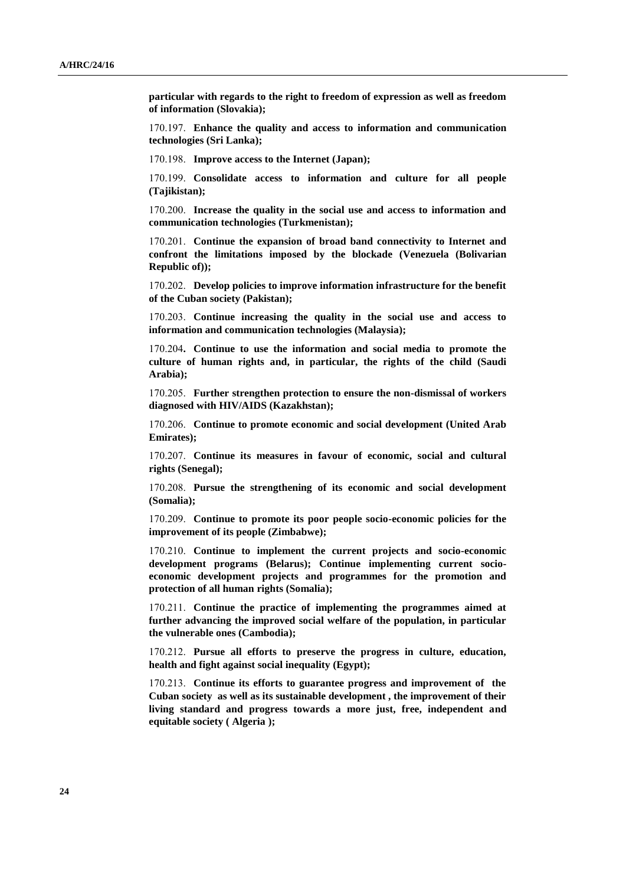**particular with regards to the right to freedom of expression as well as freedom of information (Slovakia);**

170.197. **Enhance the quality and access to information and communication technologies (Sri Lanka);**

170.198. **Improve access to the Internet (Japan);**

170.199. **Consolidate access to information and culture for all people (Tajikistan);**

170.200. **Increase the quality in the social use and access to information and communication technologies (Turkmenistan);**

170.201. **Continue the expansion of broad band connectivity to Internet and confront the limitations imposed by the blockade (Venezuela (Bolivarian Republic of));**

170.202. **Develop policies to improve information infrastructure for the benefit of the Cuban society (Pakistan);**

170.203. **Continue increasing the quality in the social use and access to information and communication technologies (Malaysia);**

170.204**. Continue to use the information and social media to promote the culture of human rights and, in particular, the rights of the child (Saudi Arabia);**

170.205. **Further strengthen protection to ensure the non-dismissal of workers diagnosed with HIV/AIDS (Kazakhstan);**

170.206. **Continue to promote economic and social development (United Arab Emirates);**

170.207. **Continue its measures in favour of economic, social and cultural rights (Senegal);**

170.208. **Pursue the strengthening of its economic and social development (Somalia);**

170.209. **Continue to promote its poor people socio-economic policies for the improvement of its people (Zimbabwe);**

170.210. **Continue to implement the current projects and socio-economic development programs (Belarus); Continue implementing current socioeconomic development projects and programmes for the promotion and protection of all human rights (Somalia);**

170.211. **Continue the practice of implementing the programmes aimed at further advancing the improved social welfare of the population, in particular the vulnerable ones (Cambodia);**

170.212. **Pursue all efforts to preserve the progress in culture, education, health and fight against social inequality (Egypt);**

170.213. **Continue its efforts to guarantee progress and improvement of the Cuban society as well as its sustainable development , the improvement of their living standard and progress towards a more just, free, independent and equitable society ( Algeria );**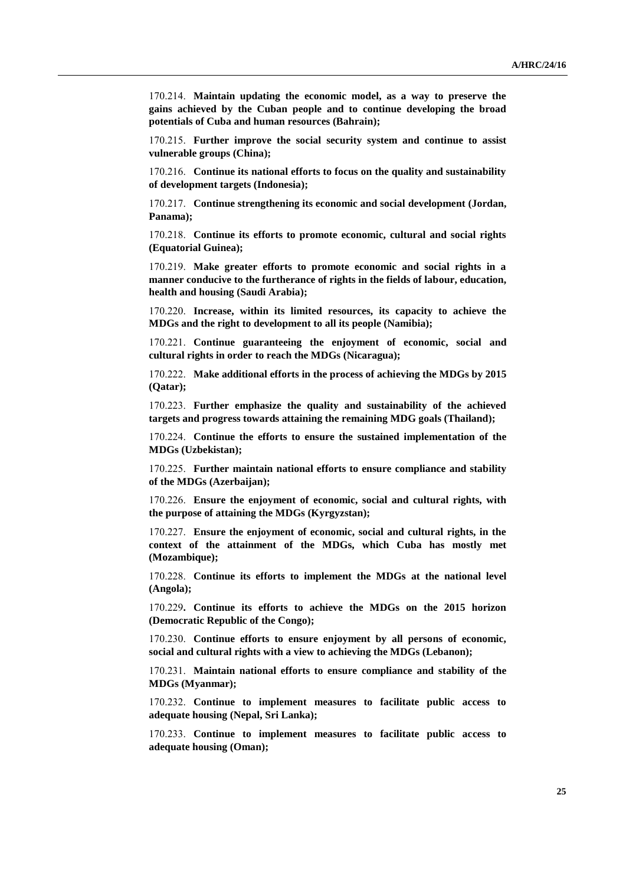170.214. **Maintain updating the economic model, as a way to preserve the gains achieved by the Cuban people and to continue developing the broad potentials of Cuba and human resources (Bahrain);**

170.215. **Further improve the social security system and continue to assist vulnerable groups (China);**

170.216. **Continue its national efforts to focus on the quality and sustainability of development targets (Indonesia);**

170.217. **Continue strengthening its economic and social development (Jordan, Panama);**

170.218. **Continue its efforts to promote economic, cultural and social rights (Equatorial Guinea);**

170.219. **Make greater efforts to promote economic and social rights in a manner conducive to the furtherance of rights in the fields of labour, education, health and housing (Saudi Arabia);**

170.220. **Increase, within its limited resources, its capacity to achieve the MDGs and the right to development to all its people (Namibia);**

170.221. **Continue guaranteeing the enjoyment of economic, social and cultural rights in order to reach the MDGs (Nicaragua);**

170.222. **Make additional efforts in the process of achieving the MDGs by 2015 (Qatar);**

170.223. **Further emphasize the quality and sustainability of the achieved targets and progress towards attaining the remaining MDG goals (Thailand);**

170.224. **Continue the efforts to ensure the sustained implementation of the MDGs (Uzbekistan);**

170.225. **Further maintain national efforts to ensure compliance and stability of the MDGs (Azerbaijan);**

170.226. **Ensure the enjoyment of economic, social and cultural rights, with the purpose of attaining the MDGs (Kyrgyzstan);**

170.227. **Ensure the enjoyment of economic, social and cultural rights, in the context of the attainment of the MDGs, which Cuba has mostly met (Mozambique);**

170.228. **Continue its efforts to implement the MDGs at the national level (Angola);**

170.229**. Continue its efforts to achieve the MDGs on the 2015 horizon (Democratic Republic of the Congo);**

170.230. **Continue efforts to ensure enjoyment by all persons of economic, social and cultural rights with a view to achieving the MDGs (Lebanon);**

170.231. **Maintain national efforts to ensure compliance and stability of the MDGs (Myanmar);**

170.232. **Continue to implement measures to facilitate public access to adequate housing (Nepal, Sri Lanka);**

170.233. **Continue to implement measures to facilitate public access to adequate housing (Oman);**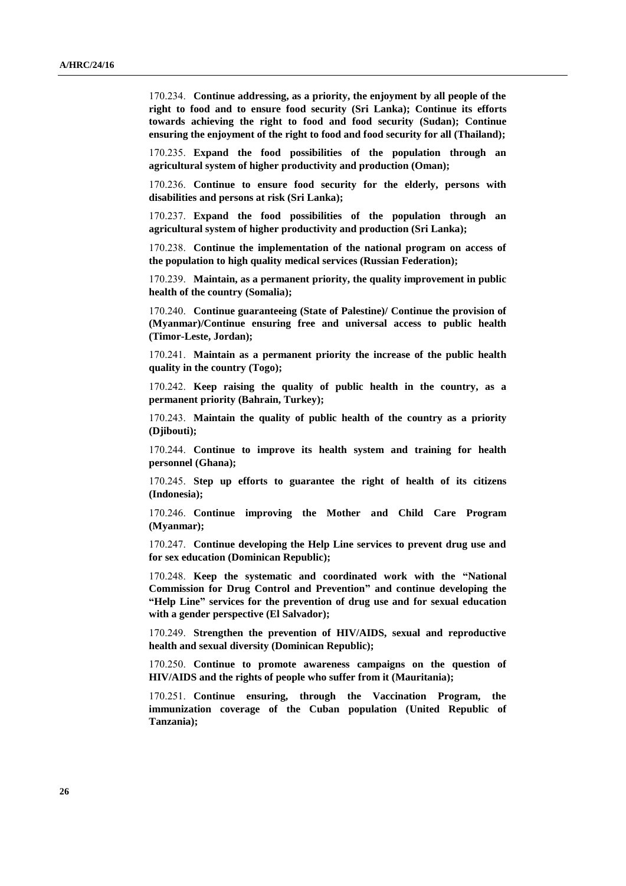170.234. **Continue addressing, as a priority, the enjoyment by all people of the right to food and to ensure food security (Sri Lanka); Continue its efforts towards achieving the right to food and food security (Sudan); Continue ensuring the enjoyment of the right to food and food security for all (Thailand);**

170.235. **Expand the food possibilities of the population through an agricultural system of higher productivity and production (Oman);**

170.236. **Continue to ensure food security for the elderly, persons with disabilities and persons at risk (Sri Lanka);**

170.237. **Expand the food possibilities of the population through an agricultural system of higher productivity and production (Sri Lanka);**

170.238. **Continue the implementation of the national program on access of the population to high quality medical services (Russian Federation);**

170.239. **Maintain, as a permanent priority, the quality improvement in public health of the country (Somalia);**

170.240. **Continue guaranteeing (State of Palestine)/ Continue the provision of (Myanmar)/Continue ensuring free and universal access to public health (Timor-Leste, Jordan);**

170.241. **Maintain as a permanent priority the increase of the public health quality in the country (Togo);**

170.242. **Keep raising the quality of public health in the country, as a permanent priority (Bahrain, Turkey);**

170.243. **Maintain the quality of public health of the country as a priority (Djibouti);**

170.244. **Continue to improve its health system and training for health personnel (Ghana);**

170.245. **Step up efforts to guarantee the right of health of its citizens (Indonesia);**

170.246. **Continue improving the Mother and Child Care Program (Myanmar);**

170.247. **Continue developing the Help Line services to prevent drug use and for sex education (Dominican Republic);**

170.248. **Keep the systematic and coordinated work with the "National Commission for Drug Control and Prevention" and continue developing the "Help Line" services for the prevention of drug use and for sexual education with a gender perspective (El Salvador);**

170.249. **Strengthen the prevention of HIV/AIDS, sexual and reproductive health and sexual diversity (Dominican Republic);**

170.250. **Continue to promote awareness campaigns on the question of HIV/AIDS and the rights of people who suffer from it (Mauritania);**

170.251. **Continue ensuring, through the Vaccination Program, the immunization coverage of the Cuban population (United Republic of Tanzania);**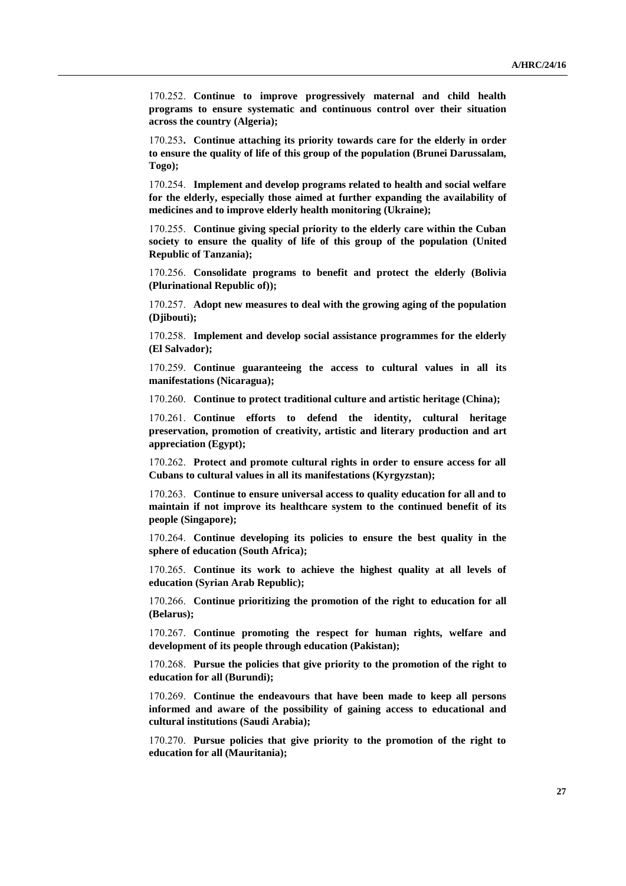170.252. **Continue to improve progressively maternal and child health programs to ensure systematic and continuous control over their situation across the country (Algeria);**

170.253**. Continue attaching its priority towards care for the elderly in order to ensure the quality of life of this group of the population (Brunei Darussalam, Togo);**

170.254. **Implement and develop programs related to health and social welfare for the elderly, especially those aimed at further expanding the availability of medicines and to improve elderly health monitoring (Ukraine);**

170.255. **Continue giving special priority to the elderly care within the Cuban society to ensure the quality of life of this group of the population (United Republic of Tanzania);**

170.256. **Consolidate programs to benefit and protect the elderly (Bolivia (Plurinational Republic of));**

170.257. **Adopt new measures to deal with the growing aging of the population (Djibouti);**

170.258. **Implement and develop social assistance programmes for the elderly (El Salvador);**

170.259. **Continue guaranteeing the access to cultural values in all its manifestations (Nicaragua);**

170.260. **Continue to protect traditional culture and artistic heritage (China);**

170.261. **Continue efforts to defend the identity, cultural heritage preservation, promotion of creativity, artistic and literary production and art appreciation (Egypt);**

170.262. **Protect and promote cultural rights in order to ensure access for all Cubans to cultural values in all its manifestations (Kyrgyzstan);** 

170.263. **Continue to ensure universal access to quality education for all and to maintain if not improve its healthcare system to the continued benefit of its people (Singapore);**

170.264. **Continue developing its policies to ensure the best quality in the sphere of education (South Africa);**

170.265. **Continue its work to achieve the highest quality at all levels of education (Syrian Arab Republic);**

170.266. **Continue prioritizing the promotion of the right to education for all (Belarus);**

170.267. **Continue promoting the respect for human rights, welfare and development of its people through education (Pakistan);**

170.268. **Pursue the policies that give priority to the promotion of the right to education for all (Burundi);**

170.269. **Continue the endeavours that have been made to keep all persons informed and aware of the possibility of gaining access to educational and cultural institutions (Saudi Arabia);**

170.270. **Pursue policies that give priority to the promotion of the right to education for all (Mauritania);**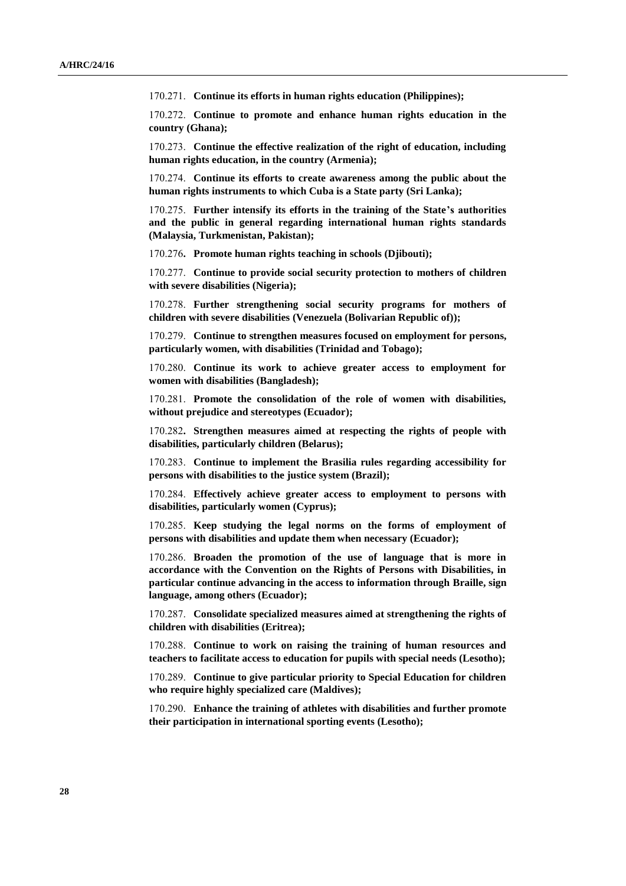170.271. **Continue its efforts in human rights education (Philippines);**

170.272. **Continue to promote and enhance human rights education in the country (Ghana);**

170.273. **Continue the effective realization of the right of education, including human rights education, in the country (Armenia);**

170.274. **Continue its efforts to create awareness among the public about the human rights instruments to which Cuba is a State party (Sri Lanka);**

170.275. **Further intensify its efforts in the training of the State's authorities and the public in general regarding international human rights standards (Malaysia, Turkmenistan, Pakistan);**

170.276**. Promote human rights teaching in schools (Djibouti);**

170.277. **Continue to provide social security protection to mothers of children with severe disabilities (Nigeria);**

170.278. **Further strengthening social security programs for mothers of children with severe disabilities (Venezuela (Bolivarian Republic of));**

170.279. **Continue to strengthen measures focused on employment for persons, particularly women, with disabilities (Trinidad and Tobago);**

170.280. **Continue its work to achieve greater access to employment for women with disabilities (Bangladesh);**

170.281. **Promote the consolidation of the role of women with disabilities, without prejudice and stereotypes (Ecuador);**

170.282**. Strengthen measures aimed at respecting the rights of people with disabilities, particularly children (Belarus);**

170.283. **Continue to implement the Brasilia rules regarding accessibility for persons with disabilities to the justice system (Brazil);**

170.284. **Effectively achieve greater access to employment to persons with disabilities, particularly women (Cyprus);**

170.285. **Keep studying the legal norms on the forms of employment of persons with disabilities and update them when necessary (Ecuador);**

170.286. **Broaden the promotion of the use of language that is more in accordance with the Convention on the Rights of Persons with Disabilities, in particular continue advancing in the access to information through Braille, sign language, among others (Ecuador);**

170.287. **Consolidate specialized measures aimed at strengthening the rights of children with disabilities (Eritrea);**

170.288. **Continue to work on raising the training of human resources and teachers to facilitate access to education for pupils with special needs (Lesotho);** 

170.289. **Continue to give particular priority to Special Education for children who require highly specialized care (Maldives);**

170.290. **Enhance the training of athletes with disabilities and further promote their participation in international sporting events (Lesotho);**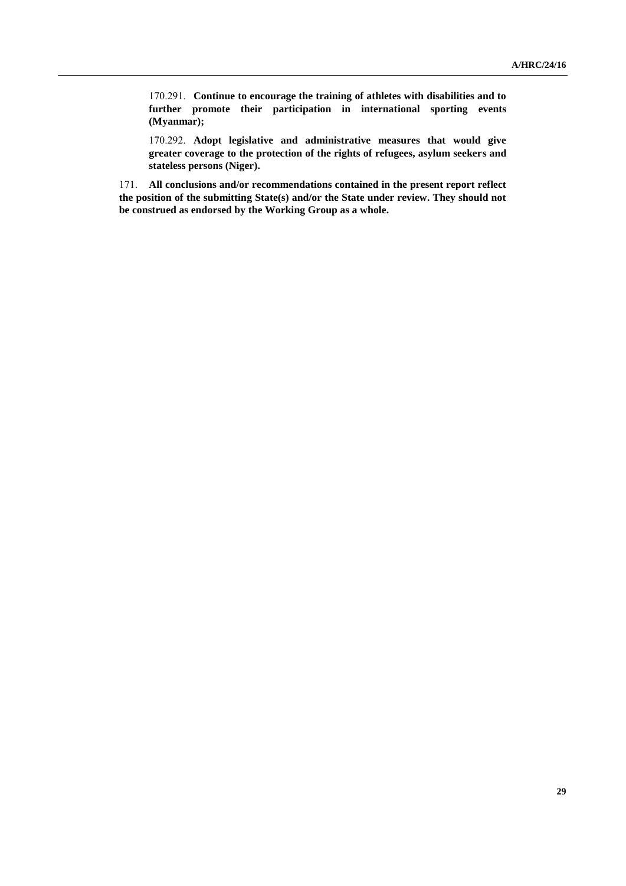170.291. **Continue to encourage the training of athletes with disabilities and to further promote their participation in international sporting events (Myanmar);**

170.292. **Adopt legislative and administrative measures that would give greater coverage to the protection of the rights of refugees, asylum seekers and stateless persons (Niger).**

171. **All conclusions and/or recommendations contained in the present report reflect the position of the submitting State(s) and/or the State under review. They should not be construed as endorsed by the Working Group as a whole.**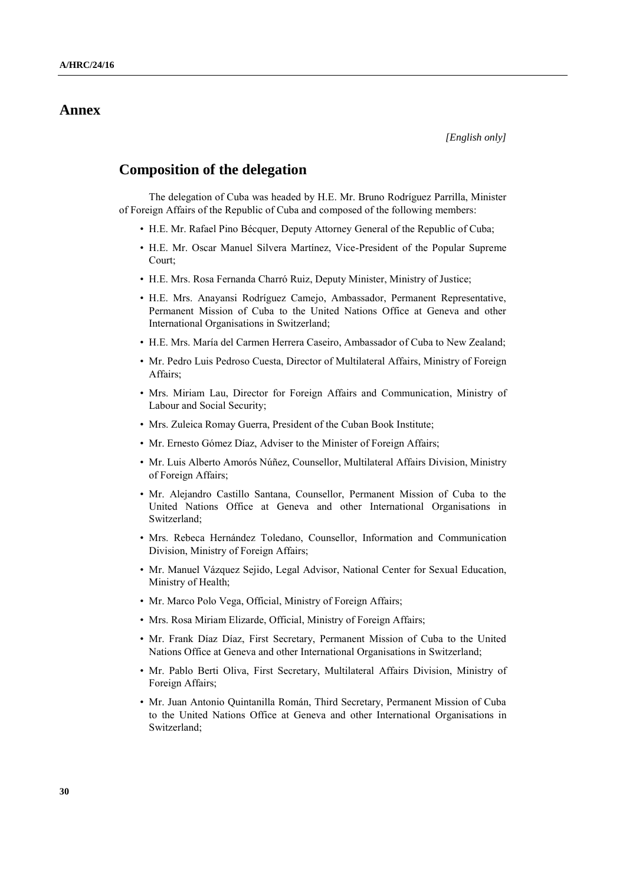# **Annex**

## **Composition of the delegation**

The delegation of Cuba was headed by H.E. Mr. Bruno Rodríguez Parrilla, Minister of Foreign Affairs of the Republic of Cuba and composed of the following members:

- H.E. Mr. Rafael Pino Bécquer, Deputy Attorney General of the Republic of Cuba;
- H.E. Mr. Oscar Manuel Silvera Martínez, Vice-President of the Popular Supreme Court;
- H.E. Mrs. Rosa Fernanda Charró Ruiz, Deputy Minister, Ministry of Justice;
- H.E. Mrs. Anayansi Rodríguez Camejo, Ambassador, Permanent Representative, Permanent Mission of Cuba to the United Nations Office at Geneva and other International Organisations in Switzerland;
- H.E. Mrs. María del Carmen Herrera Caseiro, Ambassador of Cuba to New Zealand;
- Mr. Pedro Luis Pedroso Cuesta, Director of Multilateral Affairs, Ministry of Foreign Affairs;
- Mrs. Miriam Lau, Director for Foreign Affairs and Communication, Ministry of Labour and Social Security;
- Mrs. Zuleica Romay Guerra, President of the Cuban Book Institute;
- Mr. Ernesto Gómez Díaz, Adviser to the Minister of Foreign Affairs;
- Mr. Luis Alberto Amorós Núñez, Counsellor, Multilateral Affairs Division, Ministry of Foreign Affairs;
- Mr. Alejandro Castillo Santana, Counsellor, Permanent Mission of Cuba to the United Nations Office at Geneva and other International Organisations in Switzerland;
- Mrs. Rebeca Hernández Toledano, Counsellor, Information and Communication Division, Ministry of Foreign Affairs;
- Mr. Manuel Vázquez Sejido, Legal Advisor, National Center for Sexual Education, Ministry of Health;
- Mr. Marco Polo Vega, Official, Ministry of Foreign Affairs;
- Mrs. Rosa Miriam Elizarde, Official, Ministry of Foreign Affairs;
- Mr. Frank Díaz Díaz, First Secretary, Permanent Mission of Cuba to the United Nations Office at Geneva and other International Organisations in Switzerland;
- Mr. Pablo Berti Oliva, First Secretary, Multilateral Affairs Division, Ministry of Foreign Affairs;
- Mr. Juan Antonio Quintanilla Román, Third Secretary, Permanent Mission of Cuba to the United Nations Office at Geneva and other International Organisations in Switzerland;